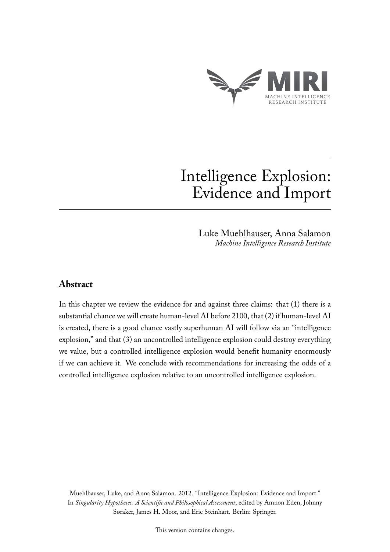

# Intelligence Explosion: Evidence and Import

Luke Muehlhauser, Anna Salamon *Machine Intelligence Research Institute*

# **Abstract**

In this chapter we review the evidence for and against three claims: that (1) there is a substantial chance we will create human-level AI before 2100, that (2) if human-level AI is created, there is a good chance vastly superhuman AI will follow via an "intelligence explosion," and that (3) an uncontrolled intelligence explosion could destroy everything we value, but a controlled intelligence explosion would benefit humanity enormously if we can achieve it. We conclude with recommendations for increasing the odds of a controlled intelligence explosion relative to an uncontrolled intelligence explosion.

Muehlhauser, Luke, and Anna Salamon. 2012. "Intelligence Explosion: Evidence and Import." In *Singularity Hypotheses: A Scientific and Philosophical Assessment*, edited by Amnon Eden, Johnny Søraker, James H. Moor, and Eric Steinhart. Berlin: Springer.

This version contains changes.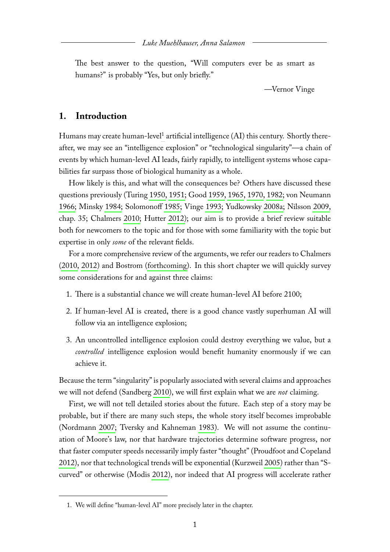The best answer to the question, "Will computers ever be as smart as humans?" is probably "Yes, but only briefly."

—Vernor Vinge

## **1. Introduction**

Humans may create human-level $^1$  $^1$  artificial intelligence (AI) this century. Shortly thereafter, we may see an "intelligence explosion" or "technological singularity"—a chain of events by which human-level AI leads, fairly rapidly, to intelligent systems whose capabilities far surpass those of biological humanity as a whole.

How likely is this, and what will the consequences be? Others have discussed these questions previously (Turing [1950,](#page-25-0) [1951;](#page-25-1) Good [1959,](#page-20-0) [1965,](#page-20-1) [1970,](#page-20-2) [1982;](#page-20-3) von Neumann [1966;](#page-26-0) Minsky [1984;](#page-22-0) Solomonoff [1985;](#page-25-2) Vinge [1993;](#page-26-1) Yudkowsky [2008a;](#page-26-2) Nilsson [2009,](#page-23-0) chap. 35; Chalmers [2010;](#page-19-0) Hutter [2012\)](#page-21-0); our aim is to provide a brief review suitable both for newcomers to the topic and for those with some familiarity with the topic but expertise in only *some* of the relevant fields.

For a more comprehensive review of the arguments, we refer our readers to Chalmers [\(2010,](#page-19-0) [2012\)](#page-19-1) and Bostrom [\(forthcoming\)](#page-18-0). In this short chapter we will quickly survey some considerations for and against three claims:

- 1. There is a substantial chance we will create human-level AI before 2100;
- 2. If human-level AI is created, there is a good chance vastly superhuman AI will follow via an intelligence explosion;
- 3. An uncontrolled intelligence explosion could destroy everything we value, but a *controlled* intelligence explosion would benefit humanity enormously if we can achieve it.

Because the term "singularity" is popularly associated with several claims and approaches we will not defend (Sandberg [2010\)](#page-24-0), we will first explain what we are *not* claiming.

First, we will not tell detailed stories about the future. Each step of a story may be probable, but if there are many such steps, the whole story itself becomes improbable (Nordmann [2007;](#page-23-1) Tversky and Kahneman [1983\)](#page-25-3). We will not assume the continuation of Moore's law, nor that hardware trajectories determine software progress, nor that faster computer speeds necessarily imply faster "thought" (Proudfoot and Copeland [2012\)](#page-23-2), nor that technological trends will be exponential (Kurzweil [2005\)](#page-21-1) rather than "Scurved" or otherwise (Modis [2012\)](#page-22-1), nor indeed that AI progress will accelerate rather

<span id="page-1-0"></span><sup>1.</sup> We will define "human-level AI" more precisely later in the chapter.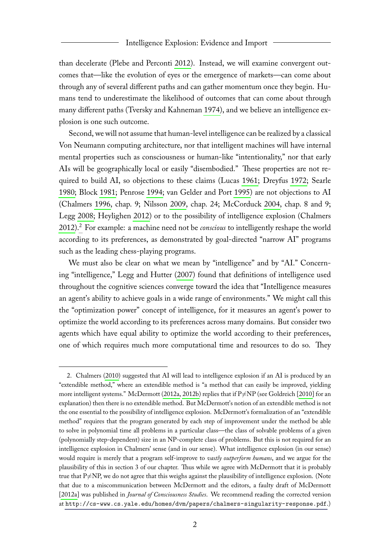than decelerate (Plebe and Perconti [2012\)](#page-23-3). Instead, we will examine convergent outcomes that—like the evolution of eyes or the emergence of markets—can come about through any of several different paths and can gather momentum once they begin. Humans tend to underestimate the likelihood of outcomes that can come about through many different paths (Tversky and Kahneman [1974\)](#page-25-4), and we believe an intelligence explosion is one such outcome.

Second, we will not assume that human-level intelligence can be realized by a classical Von Neumann computing architecture, nor that intelligent machines will have internal mental properties such as consciousness or human-like "intentionality," nor that early AIs will be geographically local or easily "disembodied." These properties are not required to build AI, so objections to these claims (Lucas [1961;](#page-22-2) Dreyfus [1972;](#page-19-2) Searle [1980;](#page-25-5) Block [1981;](#page-18-1) Penrose [1994;](#page-23-4) van Gelder and Port [1995\)](#page-25-6) are not objections to AI (Chalmers [1996,](#page-19-3) chap. 9; Nilsson [2009,](#page-23-0) chap. 24; McCorduck [2004,](#page-22-3) chap. 8 and 9; Legg [2008;](#page-21-2) Heylighen [2012\)](#page-21-3) or to the possibility of intelligence explosion (Chalmers [2012\)](#page-19-1).[2](#page-2-0) For example: a machine need not be *conscious* to intelligently reshape the world according to its preferences, as demonstrated by goal-directed "narrow AI" programs such as the leading chess-playing programs.

We must also be clear on what we mean by "intelligence" and by "AI." Concerning "intelligence," Legg and Hutter [\(2007\)](#page-21-4) found that definitions of intelligence used throughout the cognitive sciences converge toward the idea that "Intelligence measures an agent's ability to achieve goals in a wide range of environments." We might call this the "optimization power" concept of intelligence, for it measures an agent's power to optimize the world according to its preferences across many domains. But consider two agents which have equal ability to optimize the world according to their preferences, one of which requires much more computational time and resources to do so. They

<span id="page-2-0"></span><sup>2.</sup> Chalmers [\(2010\)](#page-19-0) suggested that AI will lead to intelligence explosion if an AI is produced by an "extendible method," where an extendible method is "a method that can easily be improved, yielding more intelligent systems." McDermott [\(2012a,](#page-22-4) [2012b\)](#page-22-5) replies that if  $P\neq NP$  (see Goldreich [\[2010\]](#page-20-4) for an explanation) then there is no extendible method. But McDermott's notion of an extendible method is not the one essential to the possibility of intelligence explosion. McDermott's formalization of an "extendible method" requires that the program generated by each step of improvement under the method be able to solve in polynomial time all problems in a particular class—the class of solvable problems of a given (polynomially step-dependent) size in an NP-complete class of problems. But this is not required for an intelligence explosion in Chalmers' sense (and in our sense). What intelligence explosion (in our sense) would require is merely that a program self-improve to *vastly outperform humans*, and we argue for the plausibility of this in section 3 of our chapter. Thus while we agree with McDermott that it is probably true that  $P\neq NP$ , we do not agree that this weighs against the plausibility of intelligence explosion. (Note that due to a miscommunication between McDermott and the editors, a faulty draft of McDermott [\[2012a\]](#page-22-4) was published in *Journal of Consciousness Studies*. We recommend reading the corrected version at <http://cs-www.cs.yale.edu/homes/dvm/papers/chalmers-singularity-response.pdf>.)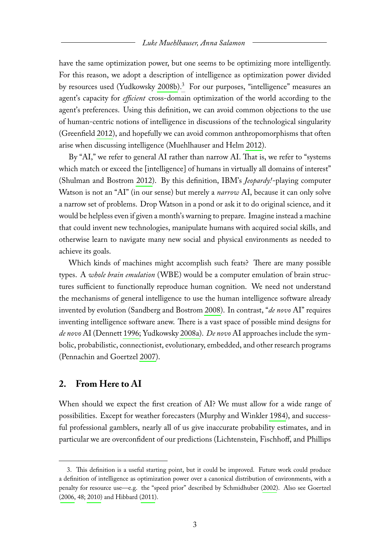have the same optimization power, but one seems to be optimizing more intelligently. For this reason, we adopt a description of intelligence as optimization power divided by resources used (Yudkowsky [2008b\)](#page-26-3).<sup>[3](#page-3-0)</sup> For our purposes, "intelligence" measures an agent's capacity for *efficient* cross-domain optimization of the world according to the agent's preferences. Using this definition, we can avoid common objections to the use of human-centric notions of intelligence in discussions of the technological singularity (Greenfield [2012\)](#page-20-5), and hopefully we can avoid common anthropomorphisms that often arise when discussing intelligence (Muehlhauser and Helm [2012\)](#page-23-5).

By "AI," we refer to general AI rather than narrow AI. That is, we refer to "systems which match or exceed the [intelligence] of humans in virtually all domains of interest" (Shulman and Bostrom [2012\)](#page-25-7). By this definition, IBM's *Jeopardy!*-playing computer Watson is not an "AI" (in our sense) but merely a *narrow* AI, because it can only solve a narrow set of problems. Drop Watson in a pond or ask it to do original science, and it would be helpless even if given a month's warning to prepare. Imagine instead a machine that could invent new technologies, manipulate humans with acquired social skills, and otherwise learn to navigate many new social and physical environments as needed to achieve its goals.

Which kinds of machines might accomplish such feats? There are many possible types. A *whole brain emulation* (WBE) would be a computer emulation of brain structures sufficient to functionally reproduce human cognition. We need not understand the mechanisms of general intelligence to use the human intelligence software already invented by evolution (Sandberg and Bostrom [2008\)](#page-24-1). In contrast, "*de novo* AI" requires inventing intelligence software anew. There is a vast space of possible mind designs for *de novo* AI (Dennett [1996;](#page-19-4) Yudkowsky [2008a\)](#page-26-2). *De novo* AI approaches include the symbolic, probabilistic, connectionist, evolutionary, embedded, and other research programs (Pennachin and Goertzel [2007\)](#page-23-6).

# **2. From Here to AI**

When should we expect the first creation of AI? We must allow for a wide range of possibilities. Except for weather forecasters (Murphy and Winkler [1984\)](#page-23-7), and successful professional gamblers, nearly all of us give inaccurate probability estimates, and in particular we are overconfident of our predictions (Lichtenstein, Fischhoff, and Phillips

<span id="page-3-0"></span><sup>3.</sup> This definition is a useful starting point, but it could be improved. Future work could produce a definition of intelligence as optimization power over a canonical distribution of environments, with a penalty for resource use—e.g. the "speed prior" described by Schmidhuber [\(2002\)](#page-24-2). Also see Goertzel [\(2006,](#page-20-6) 48; [2010\)](#page-20-7) and Hibbard [\(2011\)](#page-21-5).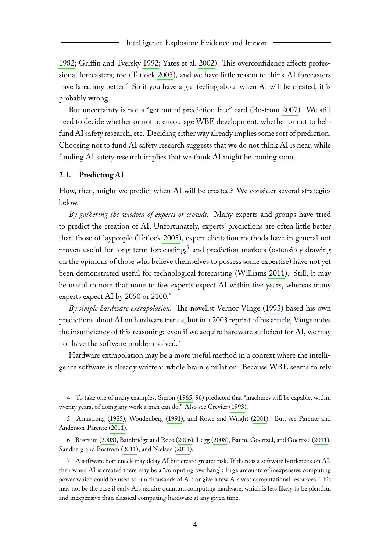[1982;](#page-21-6) Griffin and Tversky [1992;](#page-20-8) Yates et al. [2002\)](#page-26-4). This overconfidence affects professional forecasters, too (Tetlock [2005\)](#page-25-8), and we have little reason to think AI forecasters have fared any better.<sup>[4](#page-4-0)</sup> So if you have a gut feeling about when AI will be created, it is probably wrong.

But uncertainty is not a "get out of prediction free" card (Bostrom [2007\)](#page-18-2). We still need to decide whether or not to encourage WBE development, whether or not to help fund AI safety research, etc. Deciding either way already implies some sort of prediction. Choosing not to fund AI safety research suggests that we do not think AI is near, while funding AI safety research implies that we think AI might be coming soon.

## **2.1. Predicting AI**

How, then, might we predict when AI will be created? We consider several strategies below.

*By gathering the wisdom of experts or crowds.* Many experts and groups have tried to predict the creation of AI. Unfortunately, experts' predictions are often little better than those of laypeople (Tetlock [2005\)](#page-25-8), expert elicitation methods have in general not proven useful for long-term forecasting,<sup>[5](#page-4-1)</sup> and prediction markets (ostensibly drawing on the opinions of those who believe themselves to possess some expertise) have not yet been demonstrated useful for technological forecasting (Williams [2011\)](#page-26-5). Still, it may be useful to note that none to few experts expect AI within five years, whereas many experts expect AI by 2050 or 2100.<sup>[6](#page-4-2)</sup>

*By simple hardware extrapolation.* The novelist Vernor Vinge [\(1993\)](#page-26-1) based his own predictions about AI on hardware trends, but in a 2003 reprint of his article, Vinge notes the insufficiency of this reasoning: even if we acquire hardware sufficient for AI, we may not have the software problem solved.[7](#page-4-3)

Hardware extrapolation may be a more useful method in a context where the intelligence software is already written: whole brain emulation. Because WBE seems to rely

<span id="page-4-0"></span><sup>4.</sup> To take one of many examples, Simon [\(1965,](#page-25-9) 96) predicted that "machines will be capable, within twenty years, of doing any work a man can do." Also see Crevier [\(1993\)](#page-19-5).

<span id="page-4-1"></span><sup>5.</sup> Armstrong [\(1985\)](#page-18-3), Woudenberg [\(1991\)](#page-26-6), and Rowe and Wright [\(2001\)](#page-24-3). But, see Parente and Anderson-Parente [\(2011\)](#page-23-8).

<span id="page-4-2"></span><sup>6.</sup> Bostrom [\(2003\)](#page-18-4), Bainbridge and Roco [\(2006\)](#page-18-5), Legg [\(2008\)](#page-21-2), Baum, Goertzel, and Goertzel [\(2011\)](#page-18-6), Sandberg and Bostrom [\(2011\)](#page-24-4), and Nielsen [\(2011\)](#page-23-9).

<span id="page-4-3"></span><sup>7.</sup> A software bottleneck may delay AI but create greater risk. If there is a software bottleneck on AI, then when AI is created there may be a "computing overhang": large amounts of inexpensive computing power which could be used to run thousands of AIs or give a few AIs vast computational resources. This may not be the case if early AIs require quantum computing hardware, which is less likely to be plentiful and inexpensive than classical computing hardware at any given time.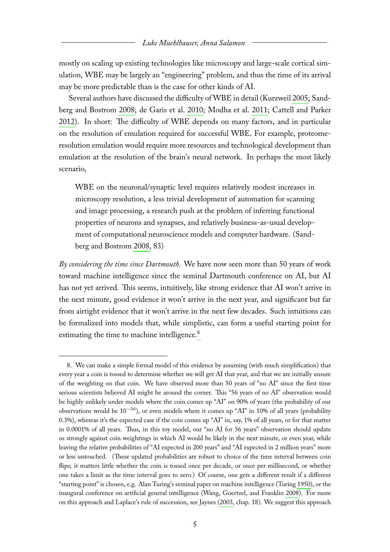mostly on scaling up existing technologies like microscopy and large-scale cortical simulation, WBE may be largely an "engineering" problem, and thus the time of its arrival may be more predictable than is the case for other kinds of AI.

Several authors have discussed the difficulty of WBE in detail (Kurzweil [2005;](#page-21-1) Sandberg and Bostrom [2008;](#page-24-1) de Garis et al. [2010;](#page-19-6) Modha et al. [2011;](#page-22-6) Cattell and Parker [2012\)](#page-19-7). In short: The difficulty of WBE depends on many factors, and in particular on the resolution of emulation required for successful WBE. For example, proteomeresolution emulation would require more resources and technological development than emulation at the resolution of the brain's neural network. In perhaps the most likely scenario,

WBE on the neuronal/synaptic level requires relatively modest increases in microscopy resolution, a less trivial development of automation for scanning and image processing, a research push at the problem of inferring functional properties of neurons and synapses, and relatively business-as-usual development of computational neuroscience models and computer hardware. (Sandberg and Bostrom [2008,](#page-24-1) 83)

*By considering the time since Dartmouth.* We have now seen more than 50 years of work toward machine intelligence since the seminal Dartmouth conference on AI, but AI has not yet arrived. This seems, intuitively, like strong evidence that AI won't arrive in the next minute, good evidence it won't arrive in the next year, and significant but far from airtight evidence that it won't arrive in the next few decades. Such intuitions can be formalized into models that, while simplistic, can form a useful starting point for estimating the time to machine intelligence.<sup>[8](#page-5-0)</sup>

<span id="page-5-0"></span><sup>8.</sup> We can make a simple formal model of this evidence by assuming (with much simplification) that every year a coin is tossed to determine whether we will get AI that year, and that we are initially unsure of the weighting on that coin. We have observed more than 50 years of "no AI" since the first time serious scientists believed AI might be around the corner. This "56 years of no AI" observation would be highly unlikely under models where the coin comes up "AI" on 90% of years (the probability of our observations would be 10<sup>−</sup><sup>56</sup>), or even models where it comes up "AI" in 10% of all years (probability 0.3%), whereas it's the expected case if the coin comes up "AI" in, say, 1% of all years, or for that matter in 0.0001% of all years. Thus, in this toy model, our "no AI for 56 years" observation should update us strongly against coin weightings in which AI would be likely in the next minute, or even year, while leaving the relative probabilities of "AI expected in 200 years" and "AI expected in 2 million years" more or less untouched. (These updated probabilities are robust to choice of the time interval between coin flips; it matters little whether the coin is tossed once per decade, or once per millisecond, or whether one takes a limit as the time interval goes to zero.) Of course, one gets a different result if a different "starting point" is chosen, e.g. Alan Turing's seminal paper on machine intelligence (Turing [1950\)](#page-25-0), or the inaugural conference on artificial general intelligence (Wang, Goertzel, and Franklin [2008\)](#page-26-7). For more on this approach and Laplace's rule of succession, see Jaynes [\(2003,](#page-21-7) chap. 18). We suggest this approach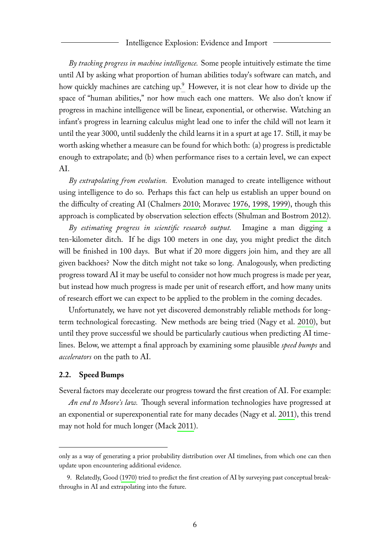*By tracking progress in machine intelligence.* Some people intuitively estimate the time until AI by asking what proportion of human abilities today's software can match, and how quickly machines are catching up.<sup>[9](#page-6-0)</sup> However, it is not clear how to divide up the space of "human abilities," nor how much each one matters. We also don't know if progress in machine intelligence will be linear, exponential, or otherwise. Watching an infant's progress in learning calculus might lead one to infer the child will not learn it until the year 3000, until suddenly the child learns it in a spurt at age 17. Still, it may be worth asking whether a measure can be found for which both: (a) progress is predictable enough to extrapolate; and (b) when performance rises to a certain level, we can expect AI.

*By extrapolating from evolution.* Evolution managed to create intelligence without using intelligence to do so. Perhaps this fact can help us establish an upper bound on the difficulty of creating AI (Chalmers [2010;](#page-19-0) Moravec [1976,](#page-22-7) [1998,](#page-22-8) [1999\)](#page-22-9), though this approach is complicated by observation selection effects (Shulman and Bostrom [2012\)](#page-25-7).

*By estimating progress in scientific research output.* Imagine a man digging a ten-kilometer ditch. If he digs 100 meters in one day, you might predict the ditch will be finished in 100 days. But what if 20 more diggers join him, and they are all given backhoes? Now the ditch might not take so long. Analogously, when predicting progress toward AI it may be useful to consider not how much progress is made per year, but instead how much progress is made per unit of research effort, and how many units of research effort we can expect to be applied to the problem in the coming decades.

Unfortunately, we have not yet discovered demonstrably reliable methods for longterm technological forecasting. New methods are being tried (Nagy et al. [2010\)](#page-23-10), but until they prove successful we should be particularly cautious when predicting AI timelines. Below, we attempt a final approach by examining some plausible *speed bumps* and *accelerators* on the path to AI.

#### **2.2. Speed Bumps**

Several factors may decelerate our progress toward the first creation of AI. For example:

*An end to Moore's law.* Though several information technologies have progressed at an exponential or superexponential rate for many decades (Nagy et al. [2011\)](#page-23-11), this trend may not hold for much longer (Mack [2011\)](#page-22-10).

only as a way of generating a prior probability distribution over AI timelines, from which one can then update upon encountering additional evidence.

<span id="page-6-0"></span><sup>9.</sup> Relatedly, Good [\(1970\)](#page-20-2) tried to predict the first creation of AI by surveying past conceptual breakthroughs in AI and extrapolating into the future.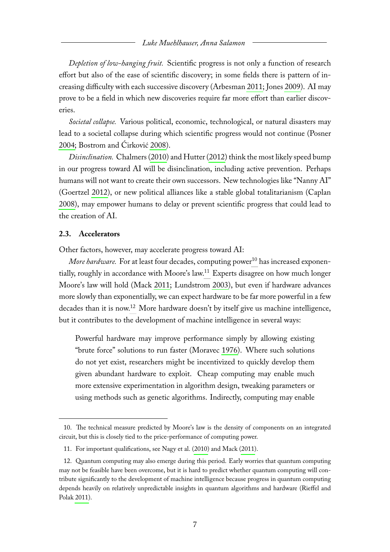*Depletion of low-hanging fruit.* Scientific progress is not only a function of research effort but also of the ease of scientific discovery; in some fields there is pattern of increasing difficulty with each successive discovery (Arbesman [2011;](#page-18-7) Jones [2009\)](#page-21-8). AI may prove to be a field in which new discoveries require far more effort than earlier discoveries.

*Societal collapse.* Various political, economic, technological, or natural disasters may lead to a societal collapse during which scientific progress would not continue (Posner [2004;](#page-23-12) Bostrom and Ćirković [2008\)](#page-18-8).

*Disinclination.* Chalmers [\(2010\)](#page-19-0) and Hutter [\(2012\)](#page-21-0) think the most likely speed bump in our progress toward AI will be disinclination, including active prevention. Perhaps humans will not want to create their own successors. New technologies like "Nanny AI" (Goertzel [2012\)](#page-20-9), or new political alliances like a stable global totalitarianism (Caplan [2008\)](#page-19-8), may empower humans to delay or prevent scientific progress that could lead to the creation of AI.

## **2.3. Accelerators**

Other factors, however, may accelerate progress toward AI:

*More hardware.* For at least four decades, computing power<sup>[10](#page-7-0)</sup> has increased exponentially, roughly in accordance with Moore's law.[11](#page-7-1) Experts disagree on how much longer Moore's law will hold (Mack [2011;](#page-22-10) Lundstrom [2003\)](#page-22-11), but even if hardware advances more slowly than exponentially, we can expect hardware to be far more powerful in a few decades than it is now.[12](#page-7-2) More hardware doesn't by itself give us machine intelligence, but it contributes to the development of machine intelligence in several ways:

Powerful hardware may improve performance simply by allowing existing "brute force" solutions to run faster (Moravec [1976\)](#page-22-7). Where such solutions do not yet exist, researchers might be incentivized to quickly develop them given abundant hardware to exploit. Cheap computing may enable much more extensive experimentation in algorithm design, tweaking parameters or using methods such as genetic algorithms. Indirectly, computing may enable

<span id="page-7-0"></span><sup>10.</sup> The technical measure predicted by Moore's law is the density of components on an integrated circuit, but this is closely tied to the price-performance of computing power.

<span id="page-7-2"></span><span id="page-7-1"></span><sup>11.</sup> For important qualifications, see Nagy et al. [\(2010\)](#page-23-10) and Mack [\(2011\)](#page-22-10).

<sup>12.</sup> Quantum computing may also emerge during this period. Early worries that quantum computing may not be feasible have been overcome, but it is hard to predict whether quantum computing will contribute significantly to the development of machine intelligence because progress in quantum computing depends heavily on relatively unpredictable insights in quantum algorithms and hardware (Rieffel and Polak [2011\)](#page-24-5).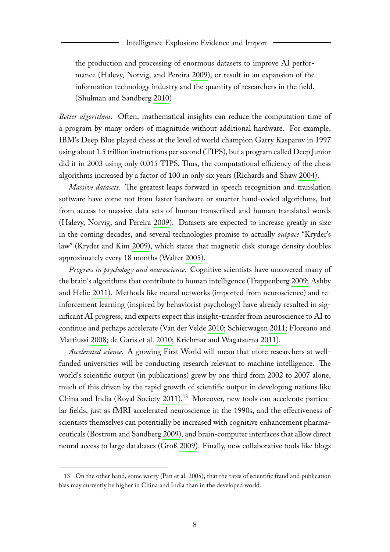the production and processing of enormous datasets to improve AI performance (Halevy, Norvig, and Pereira [2009\)](#page-20-10), or result in an expansion of the information technology industry and the quantity of researchers in the field. (Shulman and Sandberg [2010\)](#page-25-10)

*Better algorithms.* Often, mathematical insights can reduce the computation time of a program by many orders of magnitude without additional hardware. For example, IBM's Deep Blue played chess at the level of world champion Garry Kasparov in 1997 using about 1.5 trillion instructions per second (TIPS), but a program called Deep Junior did it in 2003 using only 0.015 TIPS. Thus, the computational efficiency of the chess algorithms increased by a factor of 100 in only six years (Richards and Shaw [2004\)](#page-24-6).

*Massive datasets.* The greatest leaps forward in speech recognition and translation software have come not from faster hardware or smarter hand-coded algorithms, but from access to massive data sets of human-transcribed and human-translated words (Halevy, Norvig, and Pereira [2009\)](#page-20-10). Datasets are expected to increase greatly in size in the coming decades, and several technologies promise to actually *outpace* "Kryder's law" (Kryder and Kim [2009\)](#page-21-9), which states that magnetic disk storage density doubles approximately every 18 months (Walter [2005\)](#page-26-8).

*Progress in psychology and neuroscience.* Cognitive scientists have uncovered many of the brain's algorithms that contribute to human intelligence (Trappenberg [2009;](#page-25-11) Ashby and Helie [2011\)](#page-18-9). Methods like neural networks (imported from neuroscience) and reinforcement learning (inspired by behaviorist psychology) have already resulted in significant AI progress, and experts expect this insight-transfer from neuroscience to AI to continue and perhaps accelerate (Van der Velde [2010;](#page-25-12) Schierwagen [2011;](#page-24-7) Floreano and Mattiussi [2008;](#page-19-9) de Garis et al. [2010;](#page-19-6) Krichmar and Wagatsuma [2011\)](#page-21-10).

*Accelerated science.* A growing First World will mean that more researchers at wellfunded universities will be conducting research relevant to machine intelligence. The world's scientific output (in publications) grew by one third from 2002 to 2007 alone, much of this driven by the rapid growth of scientific output in developing nations like China and India (Royal Society [2011\)](#page-24-8).<sup>[13](#page-8-0)</sup> Moreover, new tools can accelerate particular fields, just as fMRI accelerated neuroscience in the 1990s, and the effectiveness of scientists themselves can potentially be increased with cognitive enhancement pharmaceuticals (Bostrom and Sandberg [2009\)](#page-18-10), and brain-computer interfaces that allow direct neural access to large databases (Groß [2009\)](#page-20-11). Finally, new collaborative tools like blogs

<span id="page-8-0"></span><sup>13.</sup> On the other hand, some worry (Pan et al. [2005\)](#page-23-13), that the rates of scientific fraud and publication bias may currently be higher in China and India than in the developed world.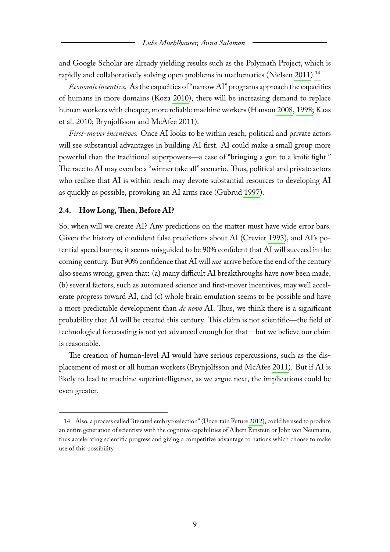and Google Scholar are already yielding results such as the Polymath Project, which is rapidly and collaboratively solving open problems in mathematics (Nielsen [2011\)](#page-23-9).<sup>[14](#page-9-0)</sup>

*Economic incentive.* As the capacities of "narrow AI" programs approach the capacities of humans in more domains (Koza [2010\)](#page-21-11), there will be increasing demand to replace human workers with cheaper, more reliable machine workers (Hanson [2008,](#page-20-12) [1998;](#page-20-13) Kaas et al. [2010;](#page-21-12) Brynjolfsson and McAfee [2011\)](#page-19-10).

*First-mover incentives.* Once AI looks to be within reach, political and private actors will see substantial advantages in building AI first. AI could make a small group more powerful than the traditional superpowers—a case of "bringing a gun to a knife fight." The race to AI may even be a "winner take all" scenario. Thus, political and private actors who realize that AI is within reach may devote substantial resources to developing AI as quickly as possible, provoking an AI arms race (Gubrud [1997\)](#page-20-14).

#### **2.4. How Long, Then, Before AI?**

So, when will we create AI? Any predictions on the matter must have wide error bars. Given the history of confident false predictions about AI (Crevier [1993\)](#page-19-5), and AI's potential speed bumps, it seems misguided to be 90% confident that AI will succeed in the coming century. But 90% confidence that AI will *not* arrive before the end of the century also seems wrong, given that: (a) many difficult AI breakthroughs have now been made, (b) several factors, such as automated science and first-mover incentives, may well accelerate progress toward AI, and (c) whole brain emulation seems to be possible and have a more predictable development than *de novo* AI. Thus, we think there is a significant probability that AI will be created this century. This claim is not scientific—the field of technological forecasting is not yet advanced enough for that—but we believe our claim is reasonable.

The creation of human-level AI would have serious repercussions, such as the displacement of most or all human workers (Brynjolfsson and McAfee [2011\)](#page-19-10). But if AI is likely to lead to machine superintelligence, as we argue next, the implications could be even greater.

<span id="page-9-0"></span><sup>14.</sup> Also, a process called "iterated embryo selection" (Uncertain Future [2012\)](#page-25-13), could be used to produce an entire generation of scientists with the cognitive capabilities of Albert Einstein or John von Neumann, thus accelerating scientific progress and giving a competitive advantage to nations which choose to make use of this possibility.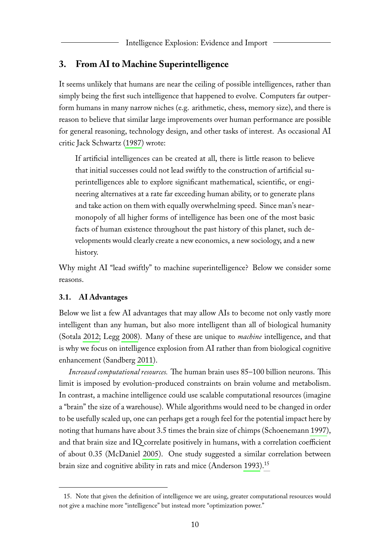# **3. From AI to Machine Superintelligence**

It seems unlikely that humans are near the ceiling of possible intelligences, rather than simply being the first such intelligence that happened to evolve. Computers far outperform humans in many narrow niches (e.g. arithmetic, chess, memory size), and there is reason to believe that similar large improvements over human performance are possible for general reasoning, technology design, and other tasks of interest. As occasional AI critic Jack Schwartz [\(1987\)](#page-25-14) wrote:

If artificial intelligences can be created at all, there is little reason to believe that initial successes could not lead swiftly to the construction of artificial superintelligences able to explore significant mathematical, scientific, or engineering alternatives at a rate far exceeding human ability, or to generate plans and take action on them with equally overwhelming speed. Since man's nearmonopoly of all higher forms of intelligence has been one of the most basic facts of human existence throughout the past history of this planet, such developments would clearly create a new economics, a new sociology, and a new history.

Why might AI "lead swiftly" to machine superintelligence? Below we consider some reasons.

## **3.1. AI Advantages**

Below we list a few AI advantages that may allow AIs to become not only vastly more intelligent than any human, but also more intelligent than all of biological humanity (Sotala [2012;](#page-25-15) Legg [2008\)](#page-21-2). Many of these are unique to *machine* intelligence, and that is why we focus on intelligence explosion from AI rather than from biological cognitive enhancement (Sandberg [2011\)](#page-24-9).

*Increased computational resources.* The human brain uses 85–100 billion neurons. This limit is imposed by evolution-produced constraints on brain volume and metabolism. In contrast, a machine intelligence could use scalable computational resources (imagine a "brain" the size of a warehouse). While algorithms would need to be changed in order to be usefully scaled up, one can perhaps get a rough feel for the potential impact here by noting that humans have about 3.5 times the brain size of chimps (Schoenemann [1997\)](#page-25-16), and that brain size and IQ correlate positively in humans, with a correlation coefficient of about 0.35 (McDaniel [2005\)](#page-22-12). One study suggested a similar correlation between brain size and cognitive ability in rats and mice (Anderson [1993\)](#page-18-11).<sup>[15](#page-10-0)</sup>

<span id="page-10-0"></span><sup>15.</sup> Note that given the definition of intelligence we are using, greater computational resources would not give a machine more "intelligence" but instead more "optimization power."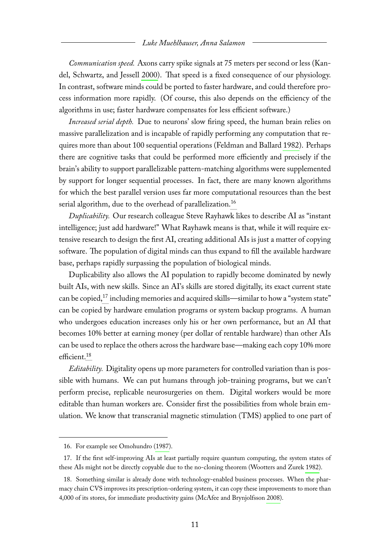*Communication speed.* Axons carry spike signals at 75 meters per second or less (Kandel, Schwartz, and Jessell [2000\)](#page-21-13). That speed is a fixed consequence of our physiology. In contrast, software minds could be ported to faster hardware, and could therefore process information more rapidly. (Of course, this also depends on the efficiency of the algorithms in use; faster hardware compensates for less efficient software.)

*Increased serial depth.* Due to neurons' slow firing speed, the human brain relies on massive parallelization and is incapable of rapidly performing any computation that requires more than about 100 sequential operations (Feldman and Ballard [1982\)](#page-19-11). Perhaps there are cognitive tasks that could be performed more efficiently and precisely if the brain's ability to support parallelizable pattern-matching algorithms were supplemented by support for longer sequential processes. In fact, there are many known algorithms for which the best parallel version uses far more computational resources than the best serial algorithm, due to the overhead of parallelization.<sup>[16](#page-11-0)</sup>

*Duplicability.* Our research colleague Steve Rayhawk likes to describe AI as "instant intelligence; just add hardware!" What Rayhawk means is that, while it will require extensive research to design the first AI, creating additional AIs is just a matter of copying software. The population of digital minds can thus expand to fill the available hardware base, perhaps rapidly surpassing the population of biological minds.

Duplicability also allows the AI population to rapidly become dominated by newly built AIs, with new skills. Since an AI's skills are stored digitally, its exact current state can be copied,[17](#page-11-1) including memories and acquired skills—similar to how a "system state" can be copied by hardware emulation programs or system backup programs. A human who undergoes education increases only his or her own performance, but an AI that becomes 10% better at earning money (per dollar of rentable hardware) than other AIs can be used to replace the others across the hardware base—making each copy 10% more efficient.[18](#page-11-2)

*Editability.* Digitality opens up more parameters for controlled variation than is possible with humans. We can put humans through job-training programs, but we can't perform precise, replicable neurosurgeries on them. Digital workers would be more editable than human workers are. Consider first the possibilities from whole brain emulation. We know that transcranial magnetic stimulation (TMS) applied to one part of

<span id="page-11-1"></span><span id="page-11-0"></span><sup>16.</sup> For example see Omohundro [\(1987\)](#page-23-14).

<sup>17.</sup> If the first self-improving AIs at least partially require quantum computing, the system states of these AIs might not be directly copyable due to the no-cloning theorem (Wootters and Zurek [1982\)](#page-26-9).

<span id="page-11-2"></span><sup>18.</sup> Something similar is already done with technology-enabled business processes. When the pharmacy chain CVS improves its prescription-ordering system, it can copy these improvements to more than 4,000 of its stores, for immediate productivity gains (McAfee and Brynjolfsson [2008\)](#page-22-13).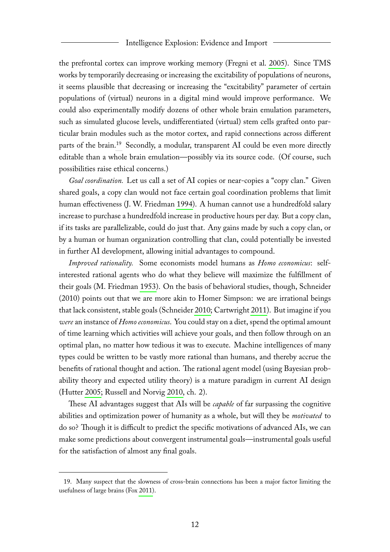the prefrontal cortex can improve working memory (Fregni et al. [2005\)](#page-19-12). Since TMS works by temporarily decreasing or increasing the excitability of populations of neurons, it seems plausible that decreasing or increasing the "excitability" parameter of certain populations of (virtual) neurons in a digital mind would improve performance. We could also experimentally modify dozens of other whole brain emulation parameters, such as simulated glucose levels, undifferentiated (virtual) stem cells grafted onto particular brain modules such as the motor cortex, and rapid connections across different parts of the brain.<sup>[19](#page-12-0)</sup> Secondly, a modular, transparent AI could be even more directly editable than a whole brain emulation—possibly via its source code. (Of course, such possibilities raise ethical concerns.)

*Goal coordination.* Let us call a set of AI copies or near-copies a "copy clan." Given shared goals, a copy clan would not face certain goal coordination problems that limit human effectiveness (J. W. Friedman [1994\)](#page-19-13). A human cannot use a hundredfold salary increase to purchase a hundredfold increase in productive hours per day. But a copy clan, if its tasks are parallelizable, could do just that. Any gains made by such a copy clan, or by a human or human organization controlling that clan, could potentially be invested in further AI development, allowing initial advantages to compound.

*Improved rationality.* Some economists model humans as *Homo economicus*: selfinterested rational agents who do what they believe will maximize the fulfillment of their goals (M. Friedman [1953\)](#page-20-15). On the basis of behavioral studies, though, Schneider (2010) points out that we are more akin to Homer Simpson: we are irrational beings that lack consistent, stable goals (Schneider [2010;](#page-25-17) Cartwright [2011\)](#page-19-14). But imagine if you *were* an instance of *Homo economicus*. You could stay on a diet, spend the optimal amount of time learning which activities will achieve your goals, and then follow through on an optimal plan, no matter how tedious it was to execute. Machine intelligences of many types could be written to be vastly more rational than humans, and thereby accrue the benefits of rational thought and action. The rational agent model (using Bayesian probability theory and expected utility theory) is a mature paradigm in current AI design (Hutter [2005;](#page-21-14) Russell and Norvig [2010,](#page-24-10) ch. 2).

These AI advantages suggest that AIs will be *capable* of far surpassing the cognitive abilities and optimization power of humanity as a whole, but will they be *motivated* to do so? Though it is difficult to predict the specific motivations of advanced AIs, we can make some predictions about convergent instrumental goals—instrumental goals useful for the satisfaction of almost any final goals.

<span id="page-12-0"></span><sup>19.</sup> Many suspect that the slowness of cross-brain connections has been a major factor limiting the usefulness of large brains (Fox [2011\)](#page-19-15).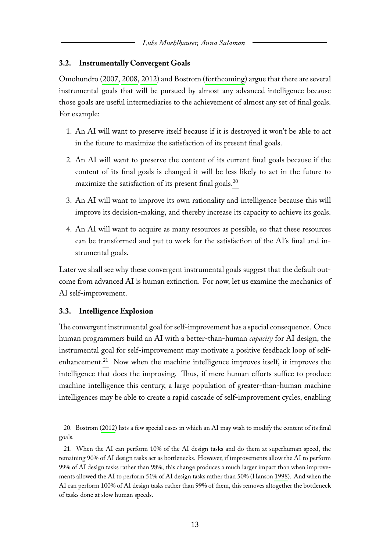# **3.2. Instrumentally Convergent Goals**

Omohundro [\(2007,](#page-23-15) [2008,](#page-23-16) [2012\)](#page-23-17) and Bostrom [\(forthcoming\)](#page-18-0) argue that there are several instrumental goals that will be pursued by almost any advanced intelligence because those goals are useful intermediaries to the achievement of almost any set of final goals. For example:

- 1. An AI will want to preserve itself because if it is destroyed it won't be able to act in the future to maximize the satisfaction of its present final goals.
- 2. An AI will want to preserve the content of its current final goals because if the content of its final goals is changed it will be less likely to act in the future to maximize the satisfaction of its present final goals.<sup>[20](#page-13-0)</sup>
- 3. An AI will want to improve its own rationality and intelligence because this will improve its decision-making, and thereby increase its capacity to achieve its goals.
- 4. An AI will want to acquire as many resources as possible, so that these resources can be transformed and put to work for the satisfaction of the AI's final and instrumental goals.

Later we shall see why these convergent instrumental goals suggest that the default outcome from advanced AI is human extinction. For now, let us examine the mechanics of AI self-improvement.

# **3.3. Intelligence Explosion**

The convergent instrumental goal for self-improvement has a special consequence. Once human programmers build an AI with a better-than-human *capacity* for AI design, the instrumental goal for self-improvement may motivate a positive feedback loop of self-enhancement.<sup>[21](#page-13-1)</sup> Now when the machine intelligence improves itself, it improves the intelligence that does the improving. Thus, if mere human efforts suffice to produce machine intelligence this century, a large population of greater-than-human machine intelligences may be able to create a rapid cascade of self-improvement cycles, enabling

<span id="page-13-0"></span><sup>20.</sup> Bostrom [\(2012\)](#page-18-12) lists a few special cases in which an AI may wish to modify the content of its final goals.

<span id="page-13-1"></span><sup>21.</sup> When the AI can perform 10% of the AI design tasks and do them at superhuman speed, the remaining 90% of AI design tasks act as bottlenecks. However, if improvements allow the AI to perform 99% of AI design tasks rather than 98%, this change produces a much larger impact than when improvements allowed the AI to perform 51% of AI design tasks rather than 50% (Hanson [1998\)](#page-20-13). And when the AI can perform 100% of AI design tasks rather than 99% of them, this removes altogether the bottleneck of tasks done at slow human speeds.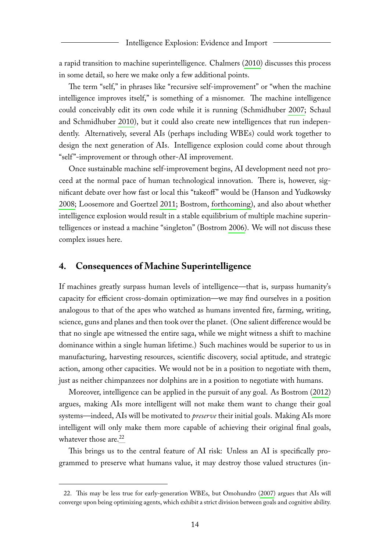a rapid transition to machine superintelligence. Chalmers [\(2010\)](#page-19-0) discusses this process in some detail, so here we make only a few additional points.

The term "self," in phrases like "recursive self-improvement" or "when the machine intelligence improves itself," is something of a misnomer. The machine intelligence could conceivably edit its own code while it is running (Schmidhuber [2007;](#page-24-11) Schaul and Schmidhuber [2010\)](#page-24-12), but it could also create new intelligences that run independently. Alternatively, several AIs (perhaps including WBEs) could work together to design the next generation of AIs. Intelligence explosion could come about through "self "-improvement or through other-AI improvement.

Once sustainable machine self-improvement begins, AI development need not proceed at the normal pace of human technological innovation. There is, however, significant debate over how fast or local this "takeoff" would be (Hanson and Yudkowsky [2008;](#page-21-15) Loosemore and Goertzel [2011;](#page-22-14) Bostrom, [forthcoming\)](#page-18-0), and also about whether intelligence explosion would result in a stable equilibrium of multiple machine superintelligences or instead a machine "singleton" (Bostrom [2006\)](#page-18-13). We will not discuss these complex issues here.

## **4. Consequences of Machine Superintelligence**

If machines greatly surpass human levels of intelligence—that is, surpass humanity's capacity for efficient cross-domain optimization—we may find ourselves in a position analogous to that of the apes who watched as humans invented fire, farming, writing, science, guns and planes and then took over the planet. (One salient difference would be that no single ape witnessed the entire saga, while we might witness a shift to machine dominance within a single human lifetime.) Such machines would be superior to us in manufacturing, harvesting resources, scientific discovery, social aptitude, and strategic action, among other capacities. We would not be in a position to negotiate with them, just as neither chimpanzees nor dolphins are in a position to negotiate with humans.

Moreover, intelligence can be applied in the pursuit of any goal. As Bostrom [\(2012\)](#page-18-12) argues, making AIs more intelligent will not make them want to change their goal systems—indeed, AIs will be motivated to *preserve* their initial goals. Making AIs more intelligent will only make them more capable of achieving their original final goals, whatever those are.<sup>[22](#page-14-0)</sup>

This brings us to the central feature of AI risk: Unless an AI is specifically programmed to preserve what humans value, it may destroy those valued structures (in-

<span id="page-14-0"></span><sup>22.</sup> This may be less true for early-generation WBEs, but Omohundro [\(2007\)](#page-23-15) argues that AIs will converge upon being optimizing agents, which exhibit a strict division between goals and cognitive ability.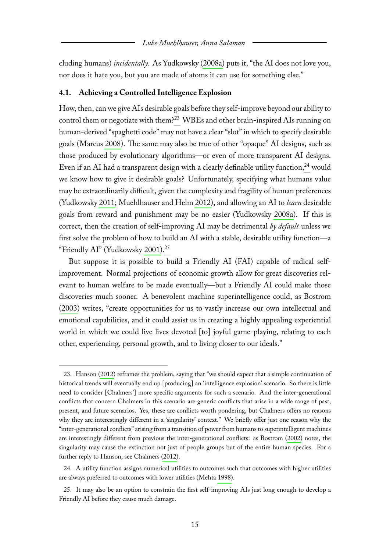cluding humans) *incidentally*. As Yudkowsky [\(2008a\)](#page-26-2) puts it, "the AI does not love you, nor does it hate you, but you are made of atoms it can use for something else."

## **4.1. Achieving a Controlled Intelligence Explosion**

How, then, can we give AIs desirable goals before they self-improve beyond our ability to control them or negotiate with them?<sup>[23](#page-15-0)</sup> WBEs and other brain-inspired AIs running on human-derived "spaghetti code" may not have a clear "slot" in which to specify desirable goals (Marcus [2008\)](#page-22-15). The same may also be true of other "opaque" AI designs, such as those produced by evolutionary algorithms—or even of more transparent AI designs. Even if an AI had a transparent design with a clearly definable utility function,  $24$  would we know how to give it desirable goals? Unfortunately, specifying what humans value may be extraordinarily difficult, given the complexity and fragility of human preferences (Yudkowsky [2011;](#page-26-10) Muehlhauser and Helm [2012\)](#page-23-5), and allowing an AI to *learn* desirable goals from reward and punishment may be no easier (Yudkowsky [2008a\)](#page-26-2). If this is correct, then the creation of self-improving AI may be detrimental *by default* unless we first solve the problem of how to build an AI with a stable, desirable utility function—a "Friendly AI" (Yudkowsky [2001\)](#page-26-11).[25](#page-15-2)

But suppose it is possible to build a Friendly AI (FAI) capable of radical selfimprovement. Normal projections of economic growth allow for great discoveries relevant to human welfare to be made eventually—but a Friendly AI could make those discoveries much sooner. A benevolent machine superintelligence could, as Bostrom [\(2003\)](#page-18-4) writes, "create opportunities for us to vastly increase our own intellectual and emotional capabilities, and it could assist us in creating a highly appealing experiential world in which we could live lives devoted [to] joyful game-playing, relating to each other, experiencing, personal growth, and to living closer to our ideals."

<span id="page-15-0"></span><sup>23.</sup> Hanson [\(2012\)](#page-21-16) reframes the problem, saying that "we should expect that a simple continuation of historical trends will eventually end up [producing] an 'intelligence explosion' scenario. So there is little need to consider [Chalmers'] more specific arguments for such a scenario. And the inter-generational conflicts that concern Chalmers in this scenario are generic conflicts that arise in a wide range of past, present, and future scenarios. Yes, these are conflicts worth pondering, but Chalmers offers no reasons why they are interestingly different in a 'singularity' context." We briefly offer just one reason why the "inter-generational conflicts" arising from a transition of power from humans to superintelligent machines are interestingly different from previous the inter-generational conflicts: as Bostrom [\(2002\)](#page-18-14) notes, the singularity may cause the extinction not just of people groups but of the entire human species. For a further reply to Hanson, see Chalmers [\(2012\)](#page-19-1).

<span id="page-15-1"></span><sup>24.</sup> A utility function assigns numerical utilities to outcomes such that outcomes with higher utilities are always preferred to outcomes with lower utilities (Mehta [1998\)](#page-22-16).

<span id="page-15-2"></span><sup>25.</sup> It may also be an option to constrain the first self-improving AIs just long enough to develop a Friendly AI before they cause much damage.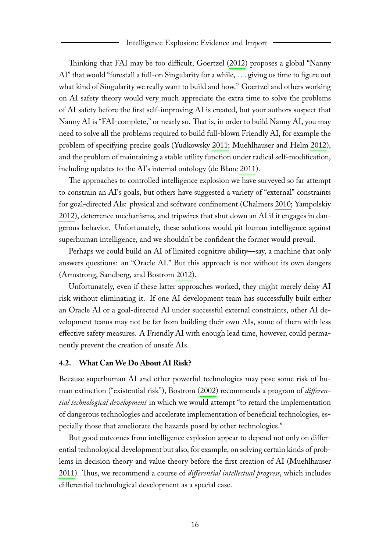Thinking that FAI may be too difficult, Goertzel [\(2012\)](#page-20-9) proposes a global "Nanny AI" that would "forestall a full-on Singularity for a while, . . . giving us time to figure out what kind of Singularity we really want to build and how." Goertzel and others working on AI safety theory would very much appreciate the extra time to solve the problems of AI safety before the first self-improving AI is created, but your authors suspect that Nanny AI is "FAI-complete," or nearly so. That is, in order to build Nanny AI, you may need to solve all the problems required to build full-blown Friendly AI, for example the problem of specifying precise goals (Yudkowsky [2011;](#page-26-10) Muehlhauser and Helm [2012\)](#page-23-5), and the problem of maintaining a stable utility function under radical self-modification, including updates to the AI's internal ontology (de Blanc [2011\)](#page-19-16).

The approaches to controlled intelligence explosion we have surveyed so far attempt to constrain an AI's goals, but others have suggested a variety of "external" constraints for goal-directed AIs: physical and software confinement (Chalmers [2010;](#page-19-0) Yampolskiy [2012\)](#page-26-12), deterrence mechanisms, and tripwires that shut down an AI if it engages in dangerous behavior. Unfortunately, these solutions would pit human intelligence against superhuman intelligence, and we shouldn't be confident the former would prevail.

Perhaps we could build an AI of limited cognitive ability—say, a machine that only answers questions: an "Oracle AI." But this approach is not without its own dangers (Armstrong, Sandberg, and Bostrom [2012\)](#page-18-15).

Unfortunately, even if these latter approaches worked, they might merely delay AI risk without eliminating it. If one AI development team has successfully built either an Oracle AI or a goal-directed AI under successful external constraints, other AI development teams may not be far from building their own AIs, some of them with less effective safety measures. A Friendly AI with enough lead time, however, could permanently prevent the creation of unsafe AIs.

#### **4.2. What Can We Do About AI Risk?**

Because superhuman AI and other powerful technologies may pose some risk of human extinction ("existential risk"), Bostrom [\(2002\)](#page-18-14) recommends a program of *differential technological development* in which we would attempt "to retard the implementation of dangerous technologies and accelerate implementation of beneficial technologies, especially those that ameliorate the hazards posed by other technologies."

But good outcomes from intelligence explosion appear to depend not only on differential technological development but also, for example, on solving certain kinds of problems in decision theory and value theory before the first creation of AI (Muehlhauser [2011\)](#page-22-17). Thus, we recommend a course of *differential intellectual progress*, which includes differential technological development as a special case.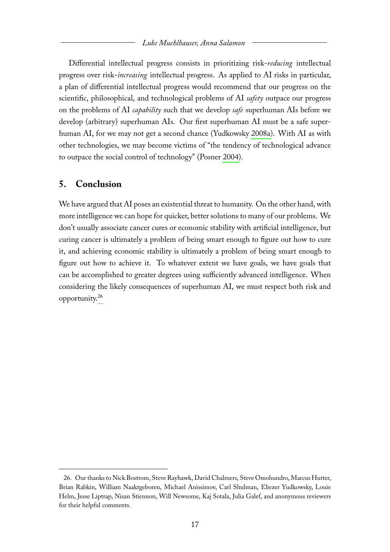Differential intellectual progress consists in prioritizing risk-*reducing* intellectual progress over risk-*increasing* intellectual progress. As applied to AI risks in particular, a plan of differential intellectual progress would recommend that our progress on the scientific, philosophical, and technological problems of AI *safety* outpace our progress on the problems of AI *capability* such that we develop *safe* superhuman AIs before we develop (arbitrary) superhuman AIs. Our first superhuman AI must be a safe superhuman AI, for we may not get a second chance (Yudkowsky [2008a\)](#page-26-2). With AI as with other technologies, we may become victims of "the tendency of technological advance to outpace the social control of technology" (Posner [2004\)](#page-23-12).

# **5. Conclusion**

We have argued that AI poses an existential threat to humanity. On the other hand, with more intelligence we can hope for quicker, better solutions to many of our problems. We don't usually associate cancer cures or economic stability with artificial intelligence, but curing cancer is ultimately a problem of being smart enough to figure out how to cure it, and achieving economic stability is ultimately a problem of being smart enough to figure out how to achieve it. To whatever extent we have goals, we have goals that can be accomplished to greater degrees using sufficiently advanced intelligence. When considering the likely consequences of superhuman AI, we must respect both risk and opportunity.[26](#page-17-0)

<span id="page-17-0"></span><sup>26.</sup> Our thanks to Nick Bostrom, Steve Rayhawk, David Chalmers, Steve Omohundro, Marcus Hutter, Brian Rabkin, William Naaktgeboren, Michael Anissimov, Carl Shulman, Eliezer Yudkowsky, Louie Helm, Jesse Liptrap, Nisan Stiennon, Will Newsome, Kaj Sotala, Julia Galef, and anonymous reviewers for their helpful comments.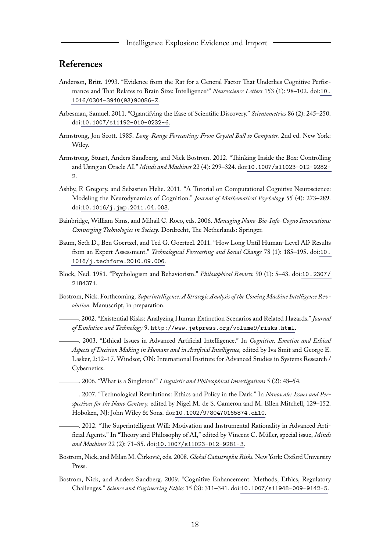## **References**

- <span id="page-18-11"></span>Anderson, Britt. 1993. "Evidence from the Rat for a General Factor That Underlies Cognitive Performance and That Relates to Brain Size: Intelligence?" *Neuroscience Letters* 153 (1): 98–102. doi:[10.](http://dx.doi.org/10.1016/0304-3940(93)90086-Z) [1016/0304-3940\(93\)90086-Z](http://dx.doi.org/10.1016/0304-3940(93)90086-Z).
- <span id="page-18-7"></span>Arbesman, Samuel. 2011. "Quantifying the Ease of Scientific Discovery." *Scientometrics* 86 (2): 245–250. doi:[10.1007/s11192-010-0232-6](http://dx.doi.org/10.1007/s11192-010-0232-6).
- <span id="page-18-3"></span>Armstrong, Jon Scott. 1985. *Long-Range Forecasting: From Crystal Ball to Computer.* 2nd ed. New York: Wiley.
- <span id="page-18-15"></span>Armstrong, Stuart, Anders Sandberg, and Nick Bostrom. 2012. "Thinking Inside the Box: Controlling and Using an Oracle AI." *Minds and Machines* 22 (4): 299–324. doi:[10.1007/s11023-012-9282-](http://dx.doi.org/10.1007/s11023-012-9282-2) [2](http://dx.doi.org/10.1007/s11023-012-9282-2).
- <span id="page-18-9"></span>Ashby, F. Gregory, and Sebastien Helie. 2011. "A Tutorial on Computational Cognitive Neuroscience: Modeling the Neurodynamics of Cognition." *Journal of Mathematical Psychology* 55 (4): 273–289. doi:[10.1016/j.jmp.2011.04.003](http://dx.doi.org/10.1016/j.jmp.2011.04.003).
- <span id="page-18-5"></span>Bainbridge, William Sims, and Mihail C. Roco, eds. 2006. *Managing Nano-Bio-Info-Cogno Innovations: Converging Technologies in Society.* Dordrecht, The Netherlands: Springer.
- <span id="page-18-6"></span>Baum, Seth D., Ben Goertzel, and Ted G. Goertzel. 2011. "How Long Until Human-Level AI? Results from an Expert Assessment." *Technological Forecasting and Social Change* 78 (1): 185–195. doi:[10.](http://dx.doi.org/10.1016/j.techfore.2010.09.006) [1016/j.techfore.2010.09.006](http://dx.doi.org/10.1016/j.techfore.2010.09.006).
- <span id="page-18-1"></span>Block, Ned. 1981. "Psychologism and Behaviorism." *Philosophical Review* 90 (1): 5–43. doi:[10.2307/](http://dx.doi.org/10.2307/2184371) [2184371](http://dx.doi.org/10.2307/2184371).
- <span id="page-18-14"></span><span id="page-18-4"></span><span id="page-18-0"></span>Bostrom, Nick. Forthcoming. *Superintelligence: A Strategic Analysis of the Coming Machine Intelligence Revolution.* Manuscript, in preparation.
	- . 2002. "Existential Risks: Analyzing Human Extinction Scenarios and Related Hazards." *Journal of Evolution and Technology* 9. <http://www.jetpress.org/volume9/risks.html>.
	- . 2003. "Ethical Issues in Advanced Artificial Intelligence." In *Cognitive, Emotive and Ethical Aspects of Decision Making in Humans and in Artificial Intelligence,* edited by Iva Smit and George E. Lasker, 2:12–17. Windsor, ON: International Institute for Advanced Studies in Systems Research / Cybernetics.
- <span id="page-18-13"></span><span id="page-18-2"></span>. 2006. "What is a Singleton?" *Linguistic and Philosophical Investigations* 5 (2): 48–54.

. 2007. "Technological Revolutions: Ethics and Policy in the Dark." In *Nanoscale: Issues and Perspectives for the Nano Century,* edited by Nigel M. de S. Cameron and M. Ellen Mitchell, 129–152. Hoboken, NJ: John Wiley & Sons. doi:[10.1002/9780470165874.ch10](http://dx.doi.org/10.1002/9780470165874.ch10).

<span id="page-18-12"></span>. 2012. "The Superintelligent Will: Motivation and Instrumental Rationality in Advanced Artificial Agents." In "Theory and Philosophy of AI," edited by Vincent C. Müller, special issue, *Minds and Machines* 22 (2): 71–85. doi:[10.1007/s11023-012-9281-3](http://dx.doi.org/10.1007/s11023-012-9281-3).

- <span id="page-18-8"></span>Bostrom, Nick, and Milan M. Ćirković, eds. 2008. *Global Catastrophic Risks.* New York: Oxford University Press.
- <span id="page-18-10"></span>Bostrom, Nick, and Anders Sandberg. 2009. "Cognitive Enhancement: Methods, Ethics, Regulatory Challenges." *Science and Engineering Ethics* 15 (3): 311–341. doi:[10.1007/s11948-009-9142-5](http://dx.doi.org/10.1007/s11948-009-9142-5).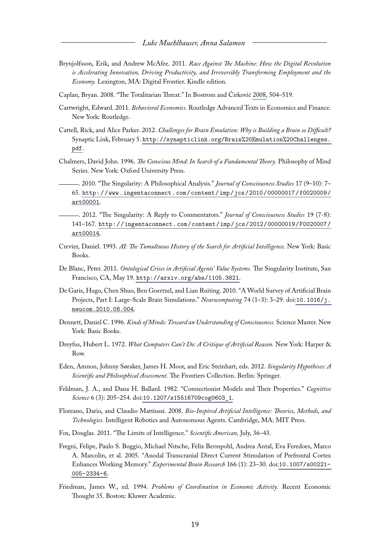- <span id="page-19-10"></span>Brynjolfsson, Erik, and Andrew McAfee. 2011. *Race Against The Machine: How the Digital Revolution is Accelerating Innovation, Driving Productivity, and Irreversibly Transforming Employment and the Economy.* Lexington, MA: Digital Frontier. Kindle edition.
- <span id="page-19-8"></span>Caplan, Bryan. 2008. "The Totalitarian Threat." In Bostrom and Ćirković [2008,](#page-18-8) 504–519.
- <span id="page-19-14"></span>Cartwright, Edward. 2011. *Behavioral Economics.* Routledge Advanced Texts in Economics and Finance. New York: Routledge.
- <span id="page-19-7"></span>Cattell, Rick, and Alice Parker. 2012. *Challenges for Brain Emulation: Why is Building a Brain so Difficult?* Synaptic Link, February 5. [http://synapticlink.org/Brain%20Emulation%20Challenges.](http://synapticlink.org/Brain%20Emulation%20Challenges.pdf) [pdf](http://synapticlink.org/Brain%20Emulation%20Challenges.pdf).
- <span id="page-19-3"></span><span id="page-19-0"></span>Chalmers, David John. 1996. *The Conscious Mind: In Search of a Fundamental Theory.* Philosophy of Mind Series. New York: Oxford University Press.
	- . 2010. "The Singularity: A Philosophical Analysis." *Journal of Consciousness Studies* 17 (9–10): 7– 65. [http://www.ingentaconnect.com/content/imp/jcs/2010/00000017/f0020009/](http://www.ingentaconnect.com/content/imp/jcs/2010/00000017/f0020009/art00001) [art00001](http://www.ingentaconnect.com/content/imp/jcs/2010/00000017/f0020009/art00001).
	- . 2012. "The Singularity: A Reply to Commentators." *Journal of Consciousness Studies* 19 (7-8): 141–167. [http://ingentaconnect.com/content/imp/jcs/2012/00000019/F0020007/](http://ingentaconnect.com/content/imp/jcs/2012/00000019/F0020007/art00014) [art00014](http://ingentaconnect.com/content/imp/jcs/2012/00000019/F0020007/art00014).
- <span id="page-19-5"></span><span id="page-19-1"></span>Crevier, Daniel. 1993. *AI: The Tumultuous History of the Search for Artificial Intelligence.* New York: Basic Books.
- <span id="page-19-16"></span>De Blanc, Peter. 2011. *Ontological Crises in Artificial Agents' Value Systems.* The Singularity Institute, San Francisco, CA, May 19. <http://arxiv.org/abs/1105.3821>.
- <span id="page-19-6"></span>De Garis, Hugo, Chen Shuo, Ben Goertzel, and Lian Ruiting. 2010. "A World Survey of Artificial Brain Projects, Part I: Large-Scale Brain Simulations." *Neurocomputing* 74 (1–3): 3–29. doi:[10.1016/j.](http://dx.doi.org/10.1016/j.neucom.2010.08.004) [neucom.2010.08.004](http://dx.doi.org/10.1016/j.neucom.2010.08.004).
- <span id="page-19-4"></span>Dennett, Daniel C. 1996. *Kinds of Minds: Toward an Understanding of Consciousness.* Science Master. New York: Basic Books.
- <span id="page-19-2"></span>Dreyfus, Hubert L. 1972. *What Computers Can't Do: A Critique of Artificial Reason.* New York: Harper & Row.
- <span id="page-19-17"></span>Eden, Amnon, Johnny Søraker, James H. Moor, and Eric Steinhart, eds. 2012. *Singularity Hypotheses: A Scientific and Philosophical Assessment.* The Frontiers Collection. Berlin: Springer.
- <span id="page-19-11"></span>Feldman, J. A., and Dana H. Ballard. 1982. "Connectionist Models and Their Properties." *Cognitive Science* 6 (3): 205–254. doi:[10.1207/s15516709cog0603\\_1](http://dx.doi.org/10.1207/s15516709cog0603_1).
- <span id="page-19-9"></span>Floreano, Dario, and Claudio Mattiussi. 2008. *Bio-Inspired Artificial Intelligence: Theories, Methods, and Technologies.* Intelligent Robotics and Autonomous Agents. Cambridge, MA: MIT Press.
- <span id="page-19-15"></span>Fox, Douglas. 2011. "The Limits of Intelligence." *Scientific American,* July, 36–43.
- <span id="page-19-12"></span>Fregni, Felipe, Paulo S. Boggio, Michael Nitsche, Felix Bermpohl, Andrea Antal, Eva Feredoes, Marco A. Marcolin, et al. 2005. "Anodal Transcranial Direct Current Stimulation of Prefrontal Cortex Enhances Working Memory." *Experimental Brain Research* 166 (1): 23–30. doi:[10.1007/s00221-](http://dx.doi.org/10.1007/s00221-005-2334-6) [005-2334-6](http://dx.doi.org/10.1007/s00221-005-2334-6).
- <span id="page-19-13"></span>Friedman, James W., ed. 1994. *Problems of Coordination in Economic Activity.* Recent Economic Thought 35. Boston: Kluwer Academic.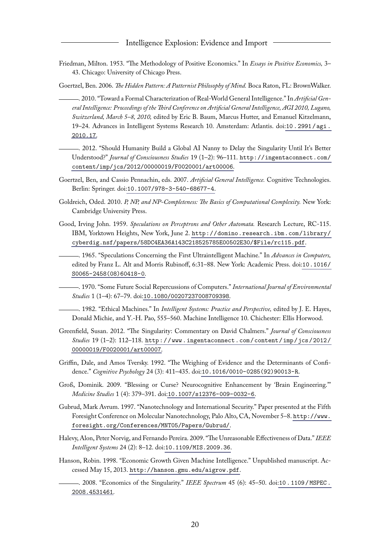- <span id="page-20-15"></span>Friedman, Milton. 1953. "The Methodology of Positive Economics." In *Essays in Positive Economics,* 3– 43. Chicago: University of Chicago Press.
- <span id="page-20-7"></span><span id="page-20-6"></span>Goertzel, Ben. 2006. *The Hidden Pattern: A Patternist Philosophy of Mind.* Boca Raton, FL: BrownWalker.
	- . 2010. "Toward a Formal Characterization of Real-World General Intelligence." In *Artificial General Intelligence: Proceedings of the Third Conference on Artificial General Intelligence, AGI 2010, Lugano, Switzerland, March 5–8, 2010,* edited by Eric B. Baum, Marcus Hutter, and Emanuel Kitzelmann, 19–24. Advances in Intelligent Systems Research 10. Amsterdam: Atlantis. doi:[10 . 2991 / agi .](http://dx.doi.org/10.2991/agi.2010.17) [2010.17](http://dx.doi.org/10.2991/agi.2010.17).

<span id="page-20-9"></span>. 2012. "Should Humanity Build a Global AI Nanny to Delay the Singularity Until It's Better Understood?" *Journal of Consciousness Studies* 19 (1–2): 96–111. [http://ingentaconnect.com/](http://ingentaconnect.com/content/imp/jcs/2012/00000019/F0020001/art00006) [content/imp/jcs/2012/00000019/F0020001/art00006](http://ingentaconnect.com/content/imp/jcs/2012/00000019/F0020001/art00006).

- <span id="page-20-16"></span>Goertzel, Ben, and Cassio Pennachin, eds. 2007. *Artificial General Intelligence.* Cognitive Technologies. Berlin: Springer. doi:[10.1007/978-3-540-68677-4](http://dx.doi.org/10.1007/978-3-540-68677-4).
- <span id="page-20-4"></span>Goldreich, Oded. 2010. *P, NP, and NP-Completeness: The Basics of Computational Complexity.* New York: Cambridge University Press.
- <span id="page-20-0"></span>Good, Irving John. 1959. *Speculations on Perceptrons and Other Automata.* Research Lecture, RC-115. IBM, Yorktown Heights, New York, June 2. [http://domino.research.ibm.com/library/](http://domino.research.ibm.com/library/cyberdig.nsf/papers/58DC4EA36A143C218525785E00502E30/$File/rc115.pdf) [cyberdig.nsf/papers/58DC4EA36A143C218525785E00502E30/\\$File/rc115.pdf](http://domino.research.ibm.com/library/cyberdig.nsf/papers/58DC4EA36A143C218525785E00502E30/$File/rc115.pdf).

<span id="page-20-1"></span>. 1965. "Speculations Concerning the First Ultraintelligent Machine." In *Advances in Computers,* edited by Franz L. Alt and Morris Rubinoff, 6:31–88. New York: Academic Press. doi:[10.1016/](http://dx.doi.org/10.1016/S0065-2458(08)60418-0) [S0065-2458\(08\)60418-0](http://dx.doi.org/10.1016/S0065-2458(08)60418-0).

<span id="page-20-2"></span>. 1970. "Some Future Social Repercussions of Computers." *International Journal of Environmental Studies* 1 (1–4): 67–79. doi:[10.1080/00207237008709398](http://dx.doi.org/10.1080/00207237008709398).

<span id="page-20-3"></span>. 1982. "Ethical Machines." In *Intelligent Systems: Practice and Perspective,* edited by J. E. Hayes, Donald Michie, and Y.-H. Pao, 555–560. Machine Intelligence 10. Chichester: Ellis Horwood.

- <span id="page-20-5"></span>Greenfield, Susan. 2012. "The Singularity: Commentary on David Chalmers." *Journal of Consciousness Studies* 19 (1–2): 112–118. [http://www.ingentaconnect.com/content/imp/jcs/2012/](http://www.ingentaconnect.com/content/imp/jcs/2012/00000019/F0020001/art00007) [00000019/F0020001/art00007](http://www.ingentaconnect.com/content/imp/jcs/2012/00000019/F0020001/art00007).
- <span id="page-20-8"></span>Griffin, Dale, and Amos Tversky. 1992. "The Weighing of Evidence and the Determinants of Confidence." *Cognitive Psychology* 24 (3): 411–435. doi:[10.1016/0010-0285\(92\)90013-R](http://dx.doi.org/10.1016/0010-0285(92)90013-R).
- <span id="page-20-11"></span>Groß, Dominik. 2009. "Blessing or Curse? Neurocognitive Enhancement by 'Brain Engineering."' *Medicine Studies* 1 (4): 379–391. doi:[10.1007/s12376-009-0032-6](http://dx.doi.org/10.1007/s12376-009-0032-6).
- <span id="page-20-14"></span>Gubrud, Mark Avrum. 1997. "Nanotechnology and International Security." Paper presented at the Fifth Foresight Conference on Molecular Nanotechnology, Palo Alto, CA, November 5–8. [http://www.](http://www.foresight.org/Conferences/MNT05/Papers/Gubrud/) [foresight.org/Conferences/MNT05/Papers/Gubrud/](http://www.foresight.org/Conferences/MNT05/Papers/Gubrud/).
- <span id="page-20-10"></span>Halevy, Alon, Peter Norvig, and Fernando Pereira. 2009. "The Unreasonable Effectiveness of Data."*IEEE Intelligent Systems* 24 (2): 8–12. doi:[10.1109/MIS.2009.36](http://dx.doi.org/10.1109/MIS.2009.36).
- <span id="page-20-13"></span><span id="page-20-12"></span>Hanson, Robin. 1998. "Economic Growth Given Machine Intelligence." Unpublished manuscript. Accessed May 15, 2013. <http://hanson.gmu.edu/aigrow.pdf>.
	- . 2008. "Economics of the Singularity." *IEEE Spectrum* 45 (6): 45–50. doi:[10 . 1109 / MSPEC .](http://dx.doi.org/10.1109/MSPEC.2008.4531461) [2008.4531461](http://dx.doi.org/10.1109/MSPEC.2008.4531461).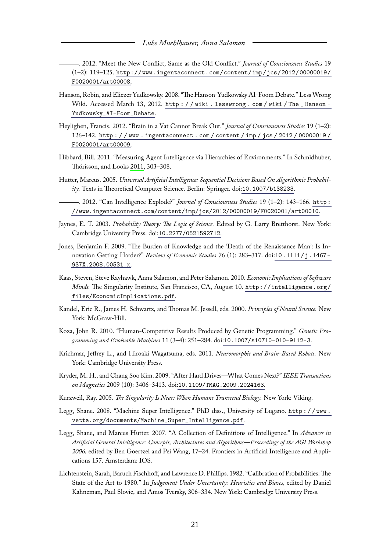- <span id="page-21-16"></span>. 2012. "Meet the New Conflict, Same as the Old Conflict." *Journal of Consciousness Studies* 19 (1–2): 119–125. [http://www.ingentaconnect.com/content/imp/jcs/2012/00000019/](http://www.ingentaconnect.com/content/imp/jcs/2012/00000019/F0020001/art00008) [F0020001/art00008](http://www.ingentaconnect.com/content/imp/jcs/2012/00000019/F0020001/art00008).
- <span id="page-21-15"></span>Hanson, Robin, and Eliezer Yudkowsky. 2008. "The Hanson-Yudkowsky AI-Foom Debate." Less Wrong Wiki. Accessed March 13, 2012. [http : / / wiki . lesswrong . com / wiki / The \\_ Hanson -](http://wiki.lesswrong.com/wiki/The_Hanson-Yudkowsky_AI-Foom_Debate) Yudkowsky AI-Foom Debate.
- <span id="page-21-3"></span>Heylighen, Francis. 2012. "Brain in a Vat Cannot Break Out." *Journal of Consciousness Studies* 19 (1–2): 126–142. [http : / / www . ingentaconnect . com / content / imp / jcs / 2012 / 00000019 /](http://www.ingentaconnect.com/content/imp/jcs/2012/00000019/F0020001/art00009) [F0020001/art00009](http://www.ingentaconnect.com/content/imp/jcs/2012/00000019/F0020001/art00009).
- <span id="page-21-5"></span>Hibbard, Bill. 2011. "Measuring Agent Intelligence via Hierarchies of Environments." In Schmidhuber, Thórisson, and Looks [2011,](#page-24-13) 303–308.
- <span id="page-21-14"></span><span id="page-21-0"></span>Hutter, Marcus. 2005. *Universal Artificial Intelligence: Sequential Decisions Based On Algorithmic Probability.* Texts in Theoretical Computer Science. Berlin: Springer. doi:[10.1007/b138233](http://dx.doi.org/10.1007/b138233).
	- . 2012. "Can Intelligence Explode?" *Journal of Consciousness Studies* 19 (1–2): 143–166. [http :](http://www.ingentaconnect.com/content/imp/jcs/2012/00000019/F0020001/art00010) [//www.ingentaconnect.com/content/imp/jcs/2012/00000019/F0020001/art00010](http://www.ingentaconnect.com/content/imp/jcs/2012/00000019/F0020001/art00010).
- <span id="page-21-7"></span>Jaynes, E. T. 2003. *Probability Theory: The Logic of Science.* Edited by G. Larry Bretthorst. New York: Cambridge University Press. doi:[10.2277/0521592712](http://dx.doi.org/10.2277/0521592712).
- <span id="page-21-8"></span>Jones, Benjamin F. 2009. "The Burden of Knowledge and the 'Death of the Renaissance Man': Is Innovation Getting Harder?" *Review of Economic Studies* 76 (1): 283–317. doi:[10.1111/j.1467-](http://dx.doi.org/10.1111/j.1467-937X.2008.00531.x) [937X.2008.00531.x](http://dx.doi.org/10.1111/j.1467-937X.2008.00531.x).
- <span id="page-21-12"></span>Kaas, Steven, Steve Rayhawk, Anna Salamon, and Peter Salamon. 2010. *Economic Implications of Software Minds.* The Singularity Institute, San Francisco, CA, August 10. [http://intelligence.org/](http://intelligence.org/files/EconomicImplications.pdf) [files/EconomicImplications.pdf](http://intelligence.org/files/EconomicImplications.pdf).
- <span id="page-21-13"></span>Kandel, Eric R., James H. Schwartz, and Thomas M. Jessell, eds. 2000. *Principles of Neural Science.* New York: McGraw-Hill.
- <span id="page-21-11"></span>Koza, John R. 2010. "Human-Competitive Results Produced by Genetic Programming." *Genetic Programming and Evolvable Machines* 11 (3–4): 251–284. doi:[10.1007/s10710-010-9112-3](http://dx.doi.org/10.1007/s10710-010-9112-3).
- <span id="page-21-10"></span>Krichmar, Jeffrey L., and Hiroaki Wagatsuma, eds. 2011. *Neuromorphic and Brain-Based Robots.* New York: Cambridge University Press.
- <span id="page-21-9"></span>Kryder, M. H., and Chang Soo Kim. 2009. "After Hard Drives—What Comes Next?" *IEEE Transactions on Magnetics* 2009 (10): 3406–3413. doi:[10.1109/TMAG.2009.2024163](http://dx.doi.org/10.1109/TMAG.2009.2024163).
- <span id="page-21-1"></span>Kurzweil, Ray. 2005. *The Singularity Is Near: When Humans Transcend Biology.* New York: Viking.
- <span id="page-21-2"></span>Legg, Shane. 2008. "Machine Super Intelligence." PhD diss., University of Lugano. [http : / / www .](http://www.vetta.org/documents/Machine_Super_Intelligence.pdf) [vetta.org/documents/Machine\\_Super\\_Intelligence.pdf](http://www.vetta.org/documents/Machine_Super_Intelligence.pdf).
- <span id="page-21-4"></span>Legg, Shane, and Marcus Hutter. 2007. "A Collection of Definitions of Intelligence." In *Advances in Artificial General Intelligence: Concepts, Architectures and Algorithms—Proceedings of the AGI Workshop 2006,* edited by Ben Goertzel and Pei Wang, 17–24. Frontiers in Artificial Intelligence and Applications 157. Amsterdam: IOS.
- <span id="page-21-6"></span>Lichtenstein, Sarah, Baruch Fischhoff, and Lawrence D. Phillips. 1982. "Calibration of Probabilities: The State of the Art to 1980." In *Judgement Under Uncertainty: Heuristics and Biases,* edited by Daniel Kahneman, Paul Slovic, and Amos Tversky, 306–334. New York: Cambridge University Press.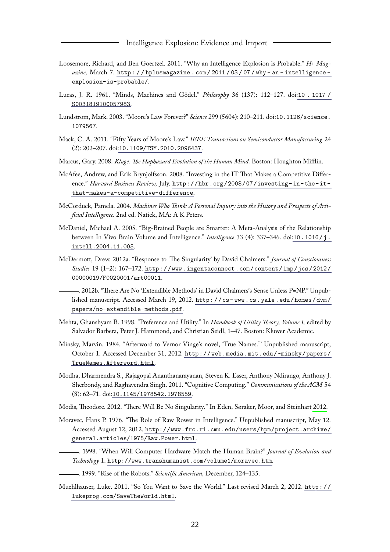- <span id="page-22-14"></span>Loosemore, Richard, and Ben Goertzel. 2011. "Why an Intelligence Explosion is Probable." *H+ Magazine,* March 7. [http : / / hplusmagazine . com / 2011 / 03 / 07 / why - an - intelligence](http://hplusmagazine.com/2011/03/07/why-an-intelligence-explosion-is-probable/)  [explosion-is-probable/](http://hplusmagazine.com/2011/03/07/why-an-intelligence-explosion-is-probable/).
- <span id="page-22-2"></span>Lucas, J. R. 1961. "Minds, Machines and Gödel." *Philosophy* 36 (137): 112–127. doi:[10 . 1017 /](http://dx.doi.org/10.1017/S0031819100057983) [S0031819100057983](http://dx.doi.org/10.1017/S0031819100057983).
- <span id="page-22-11"></span>Lundstrom, Mark. 2003. "Moore's Law Forever?" *Science* 299 (5604): 210–211. doi:[10.1126/science.](http://dx.doi.org/10.1126/science.1079567) [1079567](http://dx.doi.org/10.1126/science.1079567).
- <span id="page-22-10"></span>Mack, C. A. 2011. "Fifty Years of Moore's Law." *IEEE Transactions on Semiconductor Manufacturing* 24 (2): 202–207. doi:[10.1109/TSM.2010.2096437](http://dx.doi.org/10.1109/TSM.2010.2096437).
- <span id="page-22-15"></span>Marcus, Gary. 2008. *Kluge: The Haphazard Evolution of the Human Mind.* Boston: Houghton Mifflin.
- <span id="page-22-13"></span>McAfee, Andrew, and Erik Brynjolfsson. 2008. "Investing in the IT That Makes a Competitive Difference." *Harvard Business Review,* July. [http://hbr.org/2008/07/investing- in- the- it](http://hbr.org/2008/07/investing-in-the-it-that-makes-a-competitive-difference)[that-makes-a-competitive-difference](http://hbr.org/2008/07/investing-in-the-it-that-makes-a-competitive-difference).
- <span id="page-22-3"></span>McCorduck, Pamela. 2004. *Machines Who Think: A Personal Inquiry into the History and Prospects of Artificial Intelligence.* 2nd ed. Natick, MA: A K Peters.
- <span id="page-22-12"></span>McDaniel, Michael A. 2005. "Big-Brained People are Smarter: A Meta-Analysis of the Relationship between In Vivo Brain Volume and Intelligence." *Intelligence* 33 (4): 337–346. doi:[10.1016/j.](http://dx.doi.org/10.1016/j.intell.2004.11.005) [intell.2004.11.005](http://dx.doi.org/10.1016/j.intell.2004.11.005).
- <span id="page-22-5"></span><span id="page-22-4"></span>McDermott, Drew. 2012a. "Response to 'The Singularity' by David Chalmers." *Journal of Consciousness Studies* 19 (1–2): 167–172. [http://www.ingentaconnect.com/content/imp/jcs/2012/](http://www.ingentaconnect.com/content/imp/jcs/2012/00000019/F0020001/art00011) [00000019/F0020001/art00011](http://www.ingentaconnect.com/content/imp/jcs/2012/00000019/F0020001/art00011).
	- . 2012b. "There Are No 'Extendible Methods' in David Chalmers's Sense Unless P=NP." Unpublished manuscript. Accessed March 19, 2012. [http: / /cs - www. cs .yale . edu/ homes /dvm /](http://cs-www.cs.yale.edu/homes/dvm/papers/no-extendible-methods.pdf) [papers/no-extendible-methods.pdf](http://cs-www.cs.yale.edu/homes/dvm/papers/no-extendible-methods.pdf).
- <span id="page-22-16"></span>Mehta, Ghanshyam B. 1998. "Preference and Utility." In *Handbook of Utility Theory, Volume I,* edited by Salvador Barbera, Peter J. Hammond, and Christian Seidl, 1–47. Boston: Kluwer Academic.
- <span id="page-22-0"></span>Minsky, Marvin. 1984. "Afterword to Vernor Vinge's novel, 'True Names."' Unpublished manuscript, October 1. Accessed December 31, 2012. [http://web.media.mit.edu/~minsky/papers/](http://web.media.mit.edu/~minsky/papers/TrueNames.Afterword.html) [TrueNames.Afterword.html](http://web.media.mit.edu/~minsky/papers/TrueNames.Afterword.html).
- <span id="page-22-6"></span>Modha, Dharmendra S., Rajagopal Ananthanarayanan, Steven K. Esser, Anthony Ndirango, Anthony J. Sherbondy, and Raghavendra Singh. 2011. "Cognitive Computing." *Communications of the ACM* 54 (8): 62–71. doi:[10.1145/1978542.1978559](http://dx.doi.org/10.1145/1978542.1978559).
- <span id="page-22-1"></span>Modis, Theodore. 2012. "There Will Be No Singularity." In Eden, Søraker, Moor, and Steinhart [2012.](#page-19-17)
- <span id="page-22-8"></span><span id="page-22-7"></span>Moravec, Hans P. 1976. "The Role of Raw Rower in Intelligence." Unpublished manuscript, May 12. Accessed August 12, 2012. [http://www.frc.ri.cmu.edu/users/hpm/project.archive/](http://www.frc.ri.cmu.edu/users/hpm/project.archive/general.articles/1975/Raw.Power.html) [general.articles/1975/Raw.Power.html](http://www.frc.ri.cmu.edu/users/hpm/project.archive/general.articles/1975/Raw.Power.html).
	- . 1998. "When Will Computer Hardware Match the Human Brain?" *Journal of Evolution and Technology* 1. <http://www.transhumanist.com/volume1/moravec.htm>.
	- . 1999. "Rise of the Robots." *Scientific American,* December, 124–135.
- <span id="page-22-17"></span><span id="page-22-9"></span>Muehlhauser, Luke. 2011. "So You Want to Save the World." Last revised March 2, 2012. [http://](http://lukeprog.com/SaveTheWorld.html) [lukeprog.com/SaveTheWorld.html](http://lukeprog.com/SaveTheWorld.html).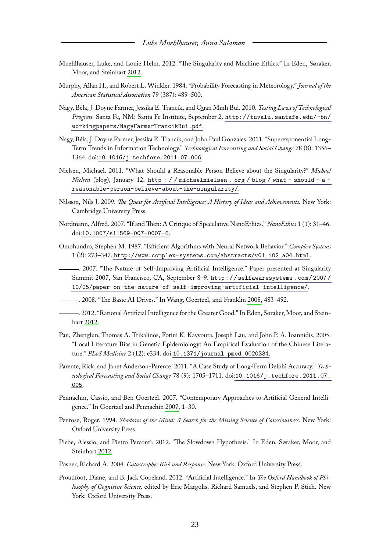- <span id="page-23-5"></span>Muehlhauser, Luke, and Louie Helm. 2012. "The Singularity and Machine Ethics." In Eden, Søraker, Moor, and Steinhart [2012.](#page-19-17)
- <span id="page-23-7"></span>Murphy, Allan H., and Robert L. Winkler. 1984. "Probability Forecasting in Meteorology." *Journal of the American Statistical Association* 79 (387): 489–500.
- <span id="page-23-10"></span>Nagy, Béla, J. Doyne Farmer, Jessika E. Trancik, and Quan Minh Bui. 2010. *Testing Laws of Technological Progress.* Santa Fe, NM: Santa Fe Institute, September 2. [http://tuvalu.santafe.edu/~bn/](http://tuvalu.santafe.edu/~bn/workingpapers/NagyFarmerTrancikBui.pdf) [workingpapers/NagyFarmerTrancikBui.pdf](http://tuvalu.santafe.edu/~bn/workingpapers/NagyFarmerTrancikBui.pdf).
- <span id="page-23-11"></span>Nagy, Béla, J. Doyne Farmer, Jessika E. Trancik, and John Paul Gonzales. 2011. "Superexponential Long-Term Trends in Information Technology." *Technological Forecasting and Social Change* 78 (8): 1356– 1364. doi:[10.1016/j.techfore.2011.07.006](http://dx.doi.org/10.1016/j.techfore.2011.07.006).
- <span id="page-23-9"></span>Nielsen, Michael. 2011. "What Should a Reasonable Person Believe about the Singularity?" *Michael Nielsen* (blog), January 12. [http : / / michaelnielsen . org / blog / what - should - a](http://michaelnielsen.org/blog/what-should-a-reasonable-person-believe-about-the-singularity/)  [reasonable-person-believe-about-the-singularity/](http://michaelnielsen.org/blog/what-should-a-reasonable-person-believe-about-the-singularity/).
- <span id="page-23-0"></span>Nilsson, Nils J. 2009. *The Quest for Artificial Intelligence: A History of Ideas and Achievements.* New York: Cambridge University Press.
- <span id="page-23-1"></span>Nordmann, Alfred. 2007. "If and Then: A Critique of Speculative NanoEthics." *NanoEthics* 1 (1): 31–46. doi:[10.1007/s11569-007-0007-6](http://dx.doi.org/10.1007/s11569-007-0007-6).
- <span id="page-23-15"></span><span id="page-23-14"></span>Omohundro, Stephen M. 1987. "Efficient Algorithms with Neural Network Behavior." *Complex Systems* 1 (2): 273–347. [http://www.complex-systems.com/abstracts/v01\\_i02\\_a04.html](http://www.complex-systems.com/abstracts/v01_i02_a04.html).
	- . 2007. "The Nature of Self-Improving Artificial Intelligence." Paper presented at Singularity Summit 2007, San Francisco, CA, September 8–9. [http : / / selfawaresystems . com / 2007 /](http://selfawaresystems.com/2007/10/05/paper-on-the-nature-of-self-improving-artificial-intelligence/) [10/05/paper-on-the-nature-of-self-improving-artificial-intelligence/](http://selfawaresystems.com/2007/10/05/paper-on-the-nature-of-self-improving-artificial-intelligence/).
- <span id="page-23-16"></span>. 2008. "The Basic AI Drives." In Wang, Goertzel, and Franklin [2008,](#page-26-7) 483–492.
- <span id="page-23-17"></span>. 2012. "Rational Artificial Intelligence for the Greater Good." In Eden, Søraker, Moor, and Steinhart [2012.](#page-19-17)
- <span id="page-23-13"></span>Pan, Zhenglun, Thomas A. Trikalinos, Fotini K. Kavvoura, Joseph Lau, and John P. A. Ioannidis. 2005. "Local Literature Bias in Genetic Epidemiology: An Empirical Evaluation of the Chinese Literature." *PLoS Medicine* 2 (12): e334. doi:[10.1371/journal.pmed.0020334](http://dx.doi.org/10.1371/journal.pmed.0020334).
- <span id="page-23-8"></span>Parente, Rick, and Janet Anderson-Parente. 2011. "A Case Study of Long-Term Delphi Accuracy." *Technological Forecasting and Social Change* 78 (9): 1705–1711. doi:[10.1016/j.techfore.2011.07.](http://dx.doi.org/10.1016/j.techfore.2011.07.005) [005](http://dx.doi.org/10.1016/j.techfore.2011.07.005).
- <span id="page-23-6"></span>Pennachin, Cassio, and Ben Goertzel. 2007. "Contemporary Approaches to Artificial General Intelligence." In Goertzel and Pennachin [2007,](#page-20-16) 1–30.
- <span id="page-23-4"></span>Penrose, Roger. 1994. *Shadows of the Mind: A Search for the Missing Science of Consciousness.* New York: Oxford University Press.
- <span id="page-23-3"></span>Plebe, Alessio, and Pietro Perconti. 2012. "The Slowdown Hypothesis." In Eden, Søraker, Moor, and Steinhart [2012.](#page-19-17)
- <span id="page-23-12"></span>Posner, Richard A. 2004. *Catastrophe: Risk and Response.* New York: Oxford University Press.
- <span id="page-23-2"></span>Proudfoot, Diane, and B. Jack Copeland. 2012. "Artificial Intelligence." In *The Oxford Handbook of Philosophy of Cognitive Science,* edited by Eric Margolis, Richard Samuels, and Stephen P. Stich. New York: Oxford University Press.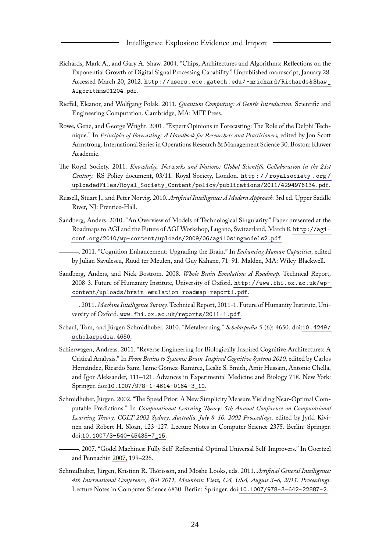Intelligence Explosion: Evidence and Import

- <span id="page-24-6"></span>Richards, Mark A., and Gary A. Shaw. 2004. "Chips, Architectures and Algorithms: Reflections on the Exponential Growth of Digital Signal Processing Capability." Unpublished manuscript, January 28. Accessed March 20, 2012. [http://users.ece.gatech.edu/~mrichard/Richards&Shaw\\_](http://users.ece.gatech.edu/~mrichard/Richards&Shaw_Algorithms01204.pdf) [Algorithms01204.pdf](http://users.ece.gatech.edu/~mrichard/Richards&Shaw_Algorithms01204.pdf).
- <span id="page-24-5"></span>Rieffel, Eleanor, and Wolfgang Polak. 2011. *Quantum Computing: A Gentle Introduction.* Scientific and Engineering Computation. Cambridge, MA: MIT Press.
- <span id="page-24-3"></span>Rowe, Gene, and George Wright. 2001. "Expert Opinions in Forecasting: The Role of the Delphi Technique." In *Principles of Forecasting: A Handbook for Researchers and Practitioners,* edited by Jon Scott Armstrong. International Series in Operations Research & Management Science 30. Boston: Kluwer Academic.
- <span id="page-24-8"></span>The Royal Society. 2011. *Knowledge, Networks and Nations: Global Scientific Collaboration in the 21st Century.* RS Policy document, 03/11. Royal Society, London. [http : / / royalsociety . org /](http://royalsociety.org/uploadedFiles/Royal_Society_Content/policy/publications/2011/4294976134.pdf) [uploadedFiles/Royal\\_Society\\_Content/policy/publications/2011/4294976134.pdf](http://royalsociety.org/uploadedFiles/Royal_Society_Content/policy/publications/2011/4294976134.pdf).
- <span id="page-24-10"></span>Russell, Stuart J., and Peter Norvig. 2010. *Artificial Intelligence: A Modern Approach.* 3rd ed. Upper Saddle River, NJ: Prentice-Hall.
- <span id="page-24-0"></span>Sandberg, Anders. 2010. "An Overview of Models of Technological Singularity." Paper presented at the Roadmaps to AGI and the Future of AGI Workshop, Lugano, Switzerland, March 8. [http://agi](http://agi-conf.org/2010/wp-content/uploads/2009/06/agi10singmodels2.pdf)[conf.org/2010/wp-content/uploads/2009/06/agi10singmodels2.pdf](http://agi-conf.org/2010/wp-content/uploads/2009/06/agi10singmodels2.pdf).
	- . 2011. "Cognition Enhancement: Upgrading the Brain." In *Enhancing Human Capacities,* edited by Julian Savulescu, Ruud ter Meulen, and Guy Kahane, 71–91. Malden, MA: Wiley-Blackwell.
- <span id="page-24-9"></span><span id="page-24-1"></span>Sandberg, Anders, and Nick Bostrom. 2008. *Whole Brain Emulation: A Roadmap.* Technical Report, 2008-3. Future of Humanity Institute, University of Oxford. [http://www.fhi.ox.ac.uk/wp](http://www.fhi.ox.ac.uk/wp-content/uploads/brain-emulation-roadmap-report1.pdf)[content/uploads/brain-emulation-roadmap-report1.pdf](http://www.fhi.ox.ac.uk/wp-content/uploads/brain-emulation-roadmap-report1.pdf).

<span id="page-24-4"></span>. 2011. *Machine Intelligence Survey.* Technical Report, 2011-1. Future of Humanity Institute, University of Oxford. <www.fhi.ox.ac.uk/reports/2011-1.pdf>.

- <span id="page-24-12"></span>Schaul, Tom, and Jürgen Schmidhuber. 2010. "Metalearning." *Scholarpedia* 5 (6): 4650. doi:[10.4249/](http://dx.doi.org/10.4249/scholarpedia.4650) [scholarpedia.4650](http://dx.doi.org/10.4249/scholarpedia.4650).
- <span id="page-24-7"></span>Schierwagen, Andreas. 2011. "Reverse Engineering for Biologically Inspired Cognitive Architectures: A Critical Analysis." In *From Brains to Systems: Brain-Inspired Cognitive Systems 2010,* edited by Carlos Hernández, Ricardo Sanz, Jaime Gómez-Ramirez, Leslie S. Smith, Amir Hussain, Antonio Chella, and Igor Aleksander, 111–121. Advances in Experimental Medicine and Biology 718. New York: Springer. doi:[10.1007/978-1-4614-0164-3\\_10](http://dx.doi.org/10.1007/978-1-4614-0164-3_10).
- <span id="page-24-2"></span>Schmidhuber, Jürgen. 2002. "The Speed Prior: A New Simplicity Measure Yielding Near-Optimal Computable Predictions." In *Computational Learning Theory: 5th Annual Conference on Computational Learning Theory, COLT 2002 Sydney, Australia, July 8–10, 2002 Proceedings,* edited by Jyrki Kivinen and Robert H. Sloan, 123–127. Lecture Notes in Computer Science 2375. Berlin: Springer. doi:[10.1007/3-540-45435-7\\_15](http://dx.doi.org/10.1007/3-540-45435-7_15).
- <span id="page-24-11"></span>. 2007. "Gödel Machines: Fully Self-Referential Optimal Universal Self-Improvers." In Goertzel and Pennachin [2007,](#page-20-16) 199–226.
- <span id="page-24-13"></span>Schmidhuber, Jürgen, Kristinn R. Thórisson, and Moshe Looks, eds. 2011. *Artificial General Intelligence: 4th International Conference, AGI 2011, Mountain View, CA, USA, August 3–6, 2011. Proceedings.* Lecture Notes in Computer Science 6830. Berlin: Springer. doi:[10.1007/978-3-642-22887-2](http://dx.doi.org/10.1007/978-3-642-22887-2).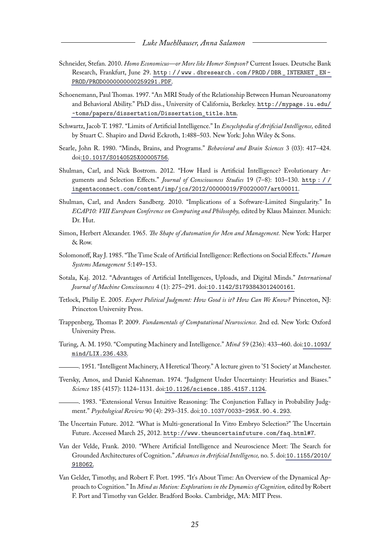- <span id="page-25-17"></span>Schneider, Stefan. 2010. *Homo Economicus—or More like Homer Simpson?* Current Issues. Deutsche Bank Research, Frankfurt, June 29. http://www.dbresearch.com/PROD/DBR\_INTERNET\_EN-[PROD/PROD0000000000259291.PDF](http://www.dbresearch.com/PROD/DBR_INTERNET_EN-PROD/PROD0000000000259291.PDF).
- <span id="page-25-16"></span>Schoenemann, Paul Thomas. 1997. "An MRI Study of the Relationship Between Human Neuroanatomy and Behavioral Ability." PhD diss., University of California, Berkeley. [http://mypage.iu.edu/](http://mypage.iu.edu/~toms/papers/dissertation/Dissertation_title.htm) [~toms/papers/dissertation/Dissertation\\_title.htm](http://mypage.iu.edu/~toms/papers/dissertation/Dissertation_title.htm).
- <span id="page-25-14"></span>Schwartz, Jacob T. 1987. "Limits of Artificial Intelligence." In *Encyclopedia of Artificial Intelligence,* edited by Stuart C. Shapiro and David Eckroth, 1:488–503. New York: John Wiley & Sons.
- <span id="page-25-5"></span>Searle, John R. 1980. "Minds, Brains, and Programs." *Behavioral and Brain Sciences* 3 (03): 417–424. doi:[10.1017/S0140525X00005756](http://dx.doi.org/10.1017/S0140525X00005756).
- <span id="page-25-7"></span>Shulman, Carl, and Nick Bostrom. 2012. "How Hard is Artificial Intelligence? Evolutionary Arguments and Selection Effects." *Journal of Consciousness Studies* 19 (7–8): 103–130. [http : / /](http://ingentaconnect.com/content/imp/jcs/2012/00000019/F0020007/art00011) [ingentaconnect.com/content/imp/jcs/2012/00000019/F0020007/art00011](http://ingentaconnect.com/content/imp/jcs/2012/00000019/F0020007/art00011).
- <span id="page-25-10"></span>Shulman, Carl, and Anders Sandberg. 2010. "Implications of a Software-Limited Singularity." In *ECAP10: VIII European Conference on Computing and Philosophy,* edited by Klaus Mainzer. Munich: Dr. Hut.
- <span id="page-25-9"></span>Simon, Herbert Alexander. 1965. *The Shape of Automation for Men and Management.* New York: Harper & Row.
- <span id="page-25-2"></span>Solomonoff, Ray J. 1985. "The Time Scale of Artificial Intelligence: Reflections on Social Effects." *Human Systems Management* 5:149–153.
- <span id="page-25-15"></span>Sotala, Kaj. 2012. "Advantages of Artificial Intelligences, Uploads, and Digital Minds." *International Journal of Machine Consciousness* 4 (1): 275–291. doi:[10.1142/S1793843012400161](http://dx.doi.org/10.1142/S1793843012400161).
- <span id="page-25-8"></span>Tetlock, Philip E. 2005. *Expert Political Judgment: How Good is it? How Can We Know?* Princeton, NJ: Princeton University Press.
- <span id="page-25-11"></span>Trappenberg, Thomas P. 2009. *Fundamentals of Computational Neuroscience.* 2nd ed. New York: Oxford University Press.
- <span id="page-25-0"></span>Turing, A. M. 1950. "Computing Machinery and Intelligence." *Mind* 59 (236): 433–460. doi:[10.1093/](http://dx.doi.org/10.1093/mind/LIX.236.433) [mind/LIX.236.433](http://dx.doi.org/10.1093/mind/LIX.236.433).
	- . 1951. "Intelligent Machinery, A Heretical Theory." A lecture given to '51 Society' at Manchester.
- <span id="page-25-4"></span><span id="page-25-3"></span><span id="page-25-1"></span>Tversky, Amos, and Daniel Kahneman. 1974. "Judgment Under Uncertainty: Heuristics and Biases." *Science* 185 (4157): 1124–1131. doi:[10.1126/science.185.4157.1124](http://dx.doi.org/10.1126/science.185.4157.1124).
	- . 1983. "Extensional Versus Intuitive Reasoning: The Conjunction Fallacy in Probability Judgment." *Psychological Review* 90 (4): 293–315. doi:[10.1037/0033-295X.90.4.293](http://dx.doi.org/10.1037/0033-295X.90.4.293).
- <span id="page-25-13"></span>The Uncertain Future. 2012. "What is Multi-generational In Vitro Embryo Selection?" The Uncertain Future. Accessed March 25, 2012. <http://www.theuncertainfuture.com/faq.html#7>.
- <span id="page-25-12"></span>Van der Velde, Frank. 2010. "Where Artificial Intelligence and Neuroscience Meet: The Search for Grounded Architectures of Cognition." *Advances in Artificial Intelligence,* no. 5. doi:[10.1155/2010/](http://dx.doi.org/10.1155/2010/918062) [918062](http://dx.doi.org/10.1155/2010/918062).
- <span id="page-25-6"></span>Van Gelder, Timothy, and Robert F. Port. 1995. "It's About Time: An Overview of the Dynamical Approach to Cognition." In *Mind as Motion: Explorations in the Dynamics of Cognition,* edited by Robert F. Port and Timothy van Gelder. Bradford Books. Cambridge, MA: MIT Press.